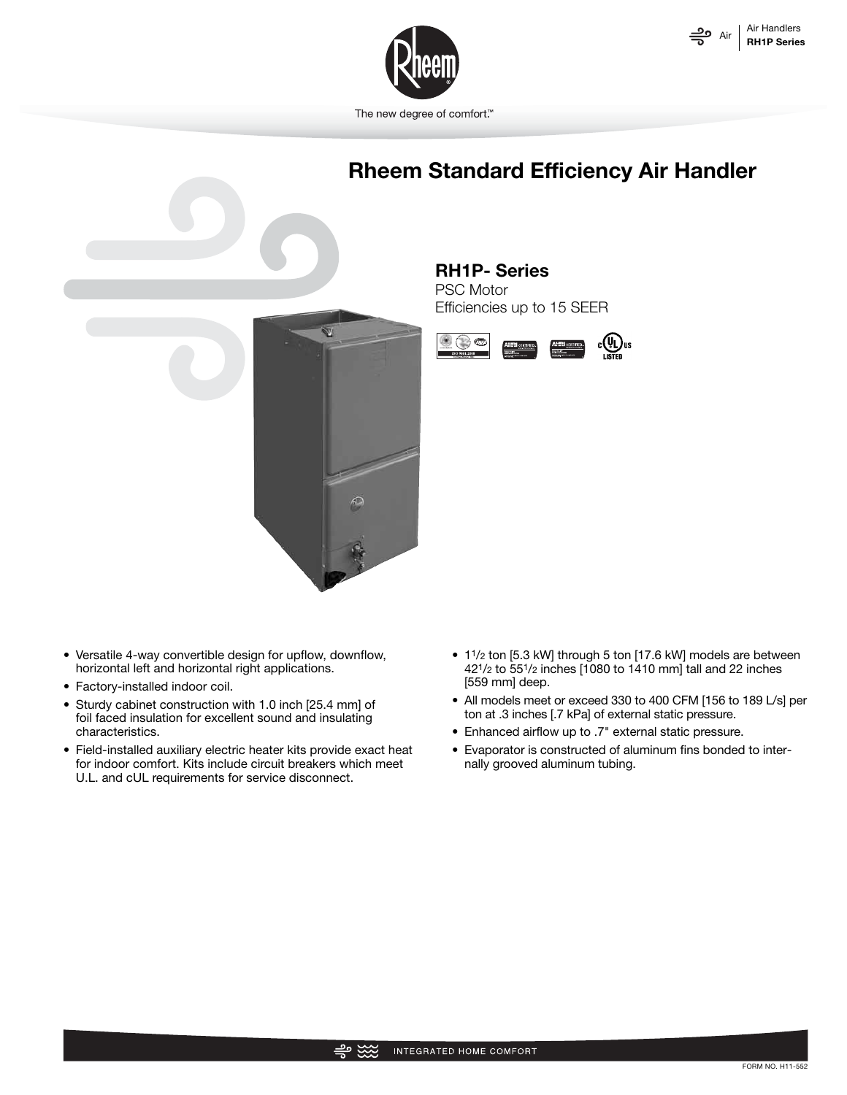

# **Rheem Standard Efficiency Air Handler**



### **RH1P- Series**

PSC Motor Efficiencies up to 15 SEER



- Versatile 4-way convertible design for upflow, downflow, horizontal left and horizontal right applications.
- Factory-installed indoor coil.
- Sturdy cabinet construction with 1.0 inch [25.4 mm] of foil faced insulation for excellent sound and insulating characteristics.
- Field-installed auxiliary electric heater kits provide exact heat for indoor comfort. Kits include circuit breakers which meet U.L. and cUL requirements for service disconnect.
- 11/2 ton [5.3 kW] through 5 ton [17.6 kW] models are between 421/2 to 551/2 inches [1080 to 1410 mm] tall and 22 inches [559 mm] deep.
- All models meet or exceed 330 to 400 CFM [156 to 189 L/s] per ton at .3 inches [.7 kPa] of external static pressure.
- Enhanced airflow up to .7" external static pressure.
- Evaporator is constructed of aluminum fins bonded to internally grooved aluminum tubing.

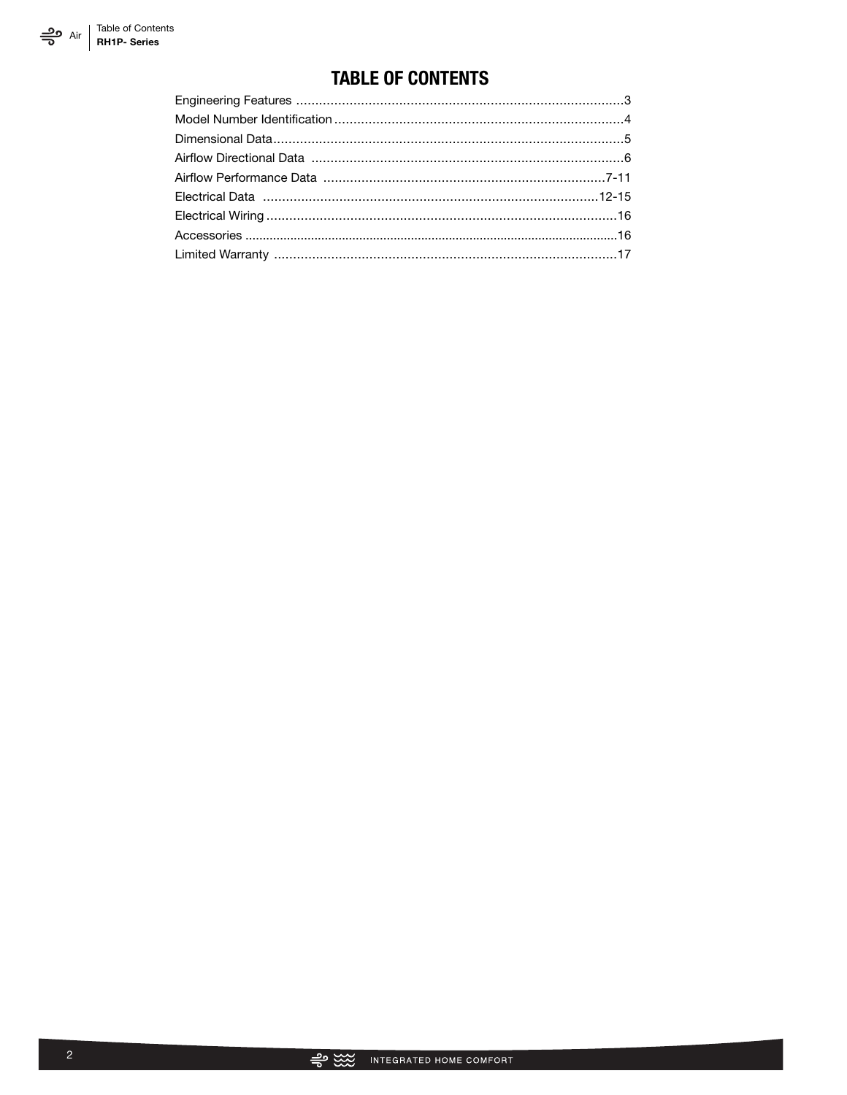## **TABLE OF CONTENTS**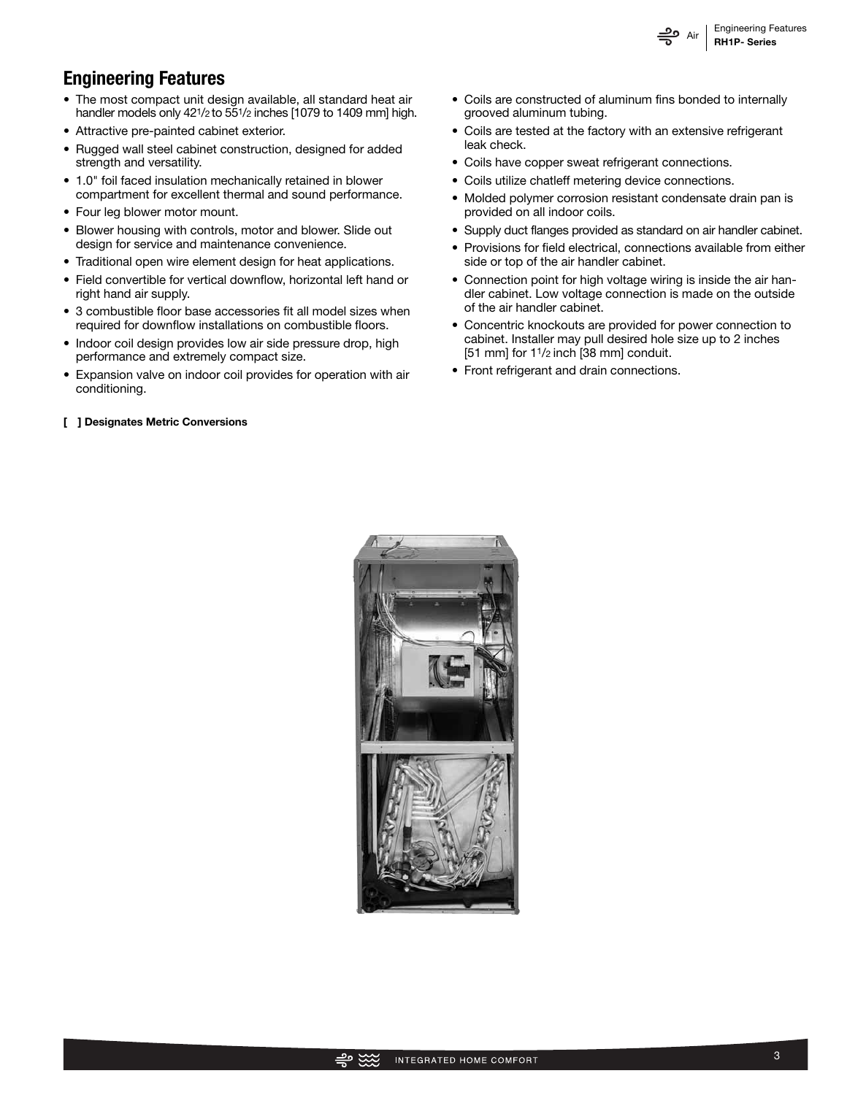## **Engineering Features**

- The most compact unit design available, all standard heat air handler models only 421/2 to 551/2 inches [1079 to 1409 mm] high.
- Attractive pre-painted cabinet exterior.
- Rugged wall steel cabinet construction, designed for added strength and versatility.
- 1.0" foil faced insulation mechanically retained in blower compartment for excellent thermal and sound performance.
- Four leg blower motor mount.
- Blower housing with controls, motor and blower. Slide out design for service and maintenance convenience.
- Traditional open wire element design for heat applications.
- Field convertible for vertical downflow, horizontal left hand or right hand air supply.
- 3 combustible floor base accessories fit all model sizes when required for downflow installations on combustible floors.
- Indoor coil design provides low air side pressure drop, high performance and extremely compact size.
- Expansion valve on indoor coil provides for operation with air conditioning.
- **[ ] Designates Metric Conversions**

• Coils are constructed of aluminum fins bonded to internally grooved aluminum tubing.

Air | Engineering Features **RH1P- Series**

- Coils are tested at the factory with an extensive refrigerant leak check.
- Coils have copper sweat refrigerant connections.
- Coils utilize chatleff metering device connections.
- Molded polymer corrosion resistant condensate drain pan is provided on all indoor coils.
- Supply duct flanges provided as standard on air handler cabinet.
- Provisions for field electrical, connections available from either side or top of the air handler cabinet.
- Connection point for high voltage wiring is inside the air handler cabinet. Low voltage connection is made on the outside of the air handler cabinet.
- Concentric knockouts are provided for power connection to cabinet. Installer may pull desired hole size up to 2 inches [51 mm] for 11/2 inch [38 mm] conduit.
- Front refrigerant and drain connections.

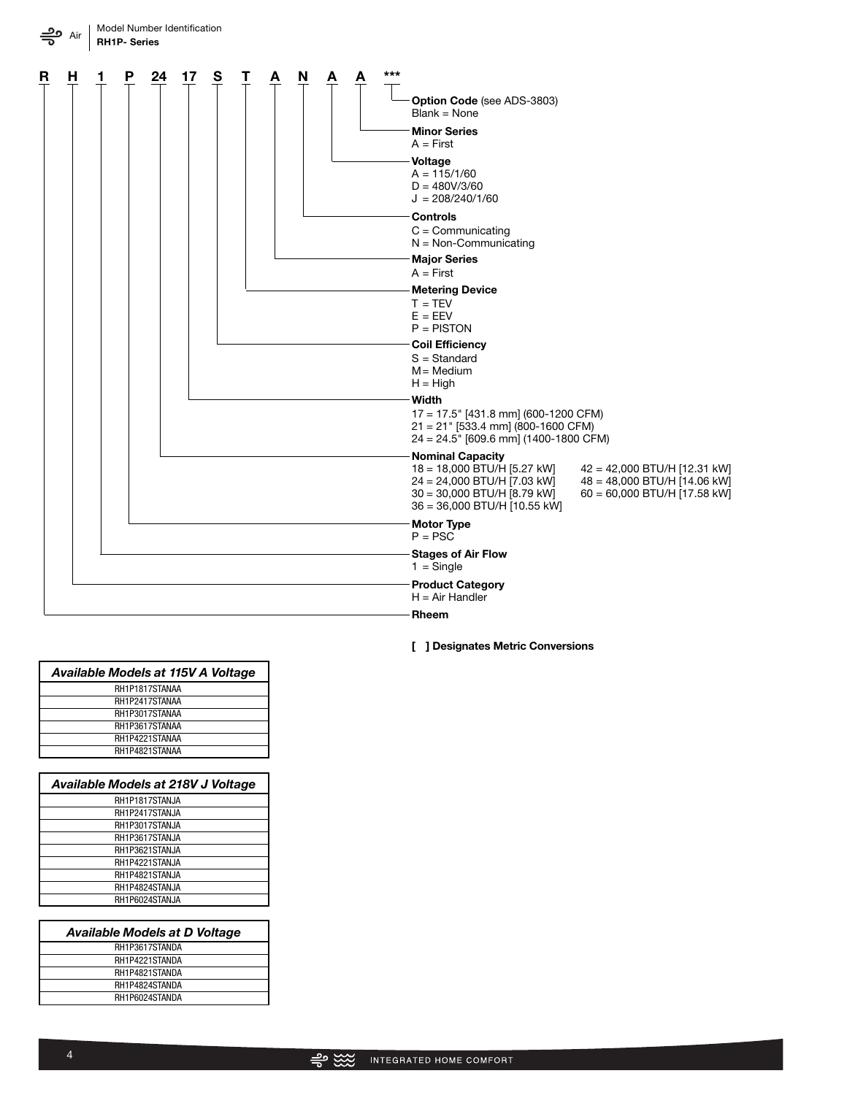

| Available Models at 115V A Voltage |
|------------------------------------|
| RH1P1817STANAA                     |
| RH1P2417STANAA                     |
| RH1P3017STANAA                     |
| RH1P3617STANAA                     |
| RH1P4221STANAA                     |
| RH1P4821STANAA                     |

| Available Models at 218V J Voltage |
|------------------------------------|
| RH1P1817STANJA                     |
| RH1P2417STANJA                     |
| RH1P3017STANJA                     |
| RH1P3617STANJA                     |
| RH1P3621STANJA                     |
| RH1P4221STANJA                     |
| RH1P4821STANJA                     |
| RH1P4824STANJA                     |
| RH1P6024STANJA                     |

| Available Models at D Voltage |  |
|-------------------------------|--|
| RH1P3617STANDA                |  |
| RH1P4221STANDA                |  |
| RH1P4821STANDA                |  |
| RH1P4824STANDA                |  |
| RH1P6024STANDA                |  |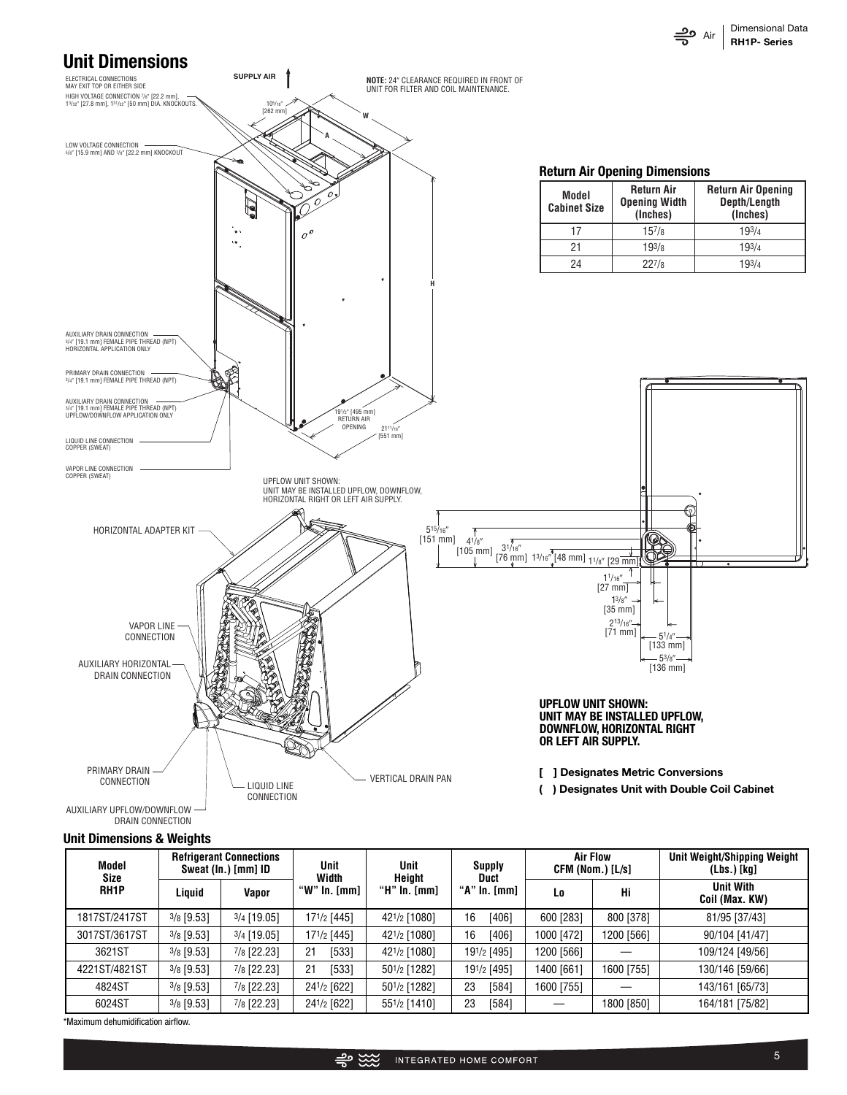

## **Unit Dimensions**



### **Unit Dimensions & Weights**

| Model<br>Size     | <b>Refrigerant Connections</b><br>Sweat (In.) [mm] ID |                       | Unit<br>Width | <b>Unit</b><br>Height            | <b>Supply</b><br>Duct | <b>Air Flow</b> | CFM (Nom.) [L/s] | <b>Unit Weight/Shipping Weight</b><br>$(Lbs.)$ $[kg]$ |  |
|-------------------|-------------------------------------------------------|-----------------------|---------------|----------------------------------|-----------------------|-----------------|------------------|-------------------------------------------------------|--|
| RH <sub>1</sub> P | Liquid                                                | Vapor                 | "W" In. [mm]  | "H" $\ln$ . $\lfloor mm \rfloor$ | "A" In. [mm]          | Lo              | Hi               | <b>Unit With</b><br>Coil (Max. KW)                    |  |
| 1817ST/2417ST     | $3/8$ [9.53]                                          | $3/4$ [19.05]         | 171/2 [445]   | 421/2 [1080]                     | [406]<br>16           | 600 [283]       | 800 [378]        | 81/95 [37/43]                                         |  |
| 3017ST/3617ST     | $3/8$ [9.53]                                          | $3/4$ [19.05]         | 171/2 [445]   | 421/2 [1080]                     | 16<br>[406]           | 1000 [472]      | 1200 [566]       | 90/104 [41/47]                                        |  |
| 3621ST            | $3/8$ [9.53]                                          | 7/8 [22.23]           | [533]<br>21   | 421/2 [1080]                     | 191/2 [495]           | 1200 [566]      |                  | 109/124 [49/56]                                       |  |
| 4221ST/4821ST     | $3/8$ [9.53]                                          | 7/8 [22.23]           | [533]<br>21   | 501/2 [1282]                     | 191/2 [495]           | 1400 [661]      | 1600 [755]       | 130/146 [59/66]                                       |  |
| 4824ST            | $3/8$ [9.53]                                          | $\frac{7}{8}$ [22.23] | 241/2 [622]   | 501/2 [1282]                     | $[584]$<br>23         | 1600 [755]      |                  | 143/161 [65/73]                                       |  |
| 6024ST            | $3/8$ [9.53]                                          | 7/8 [22.23]           | 241/2 [622]   | 551/2 [1410]                     | 23<br>[584]           |                 | 1800 [850]       | 164/181 [75/82]                                       |  |

\*Maximum dehumidification airflow.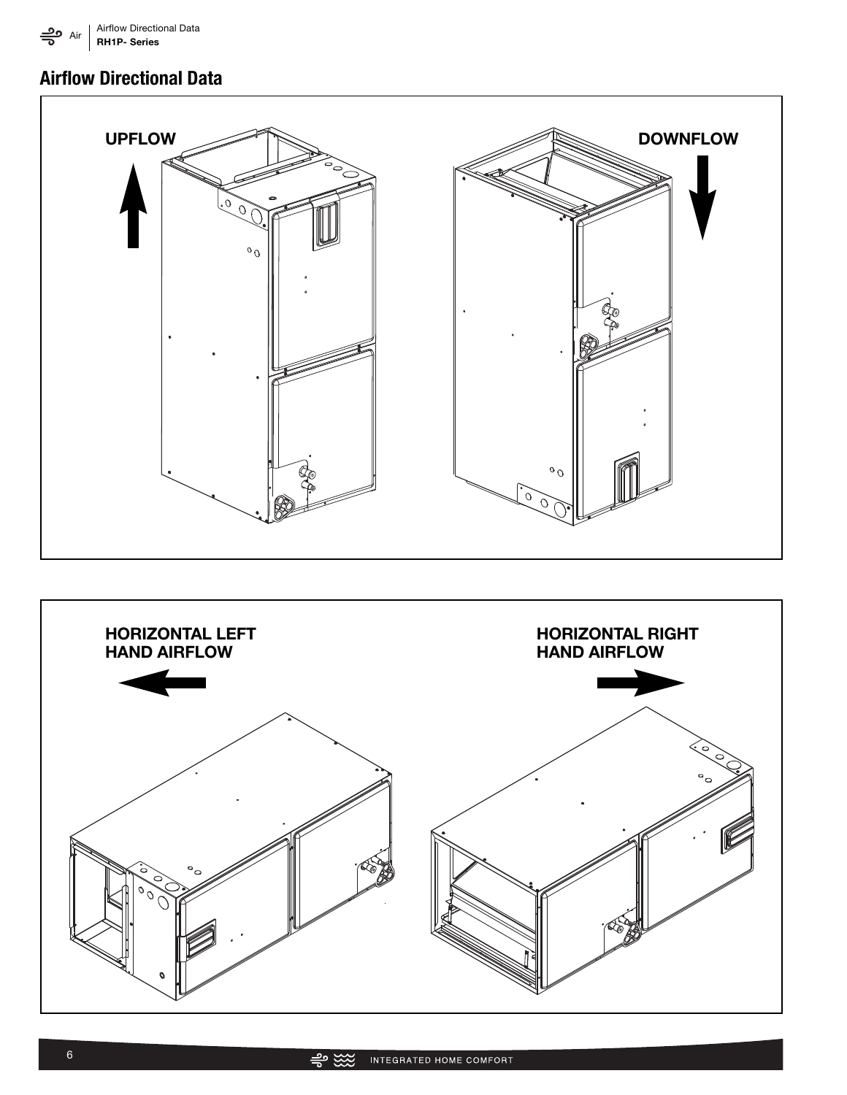

## **Airflow Directional Data**





₩ ≑ INTEGRATED HOME COMFORT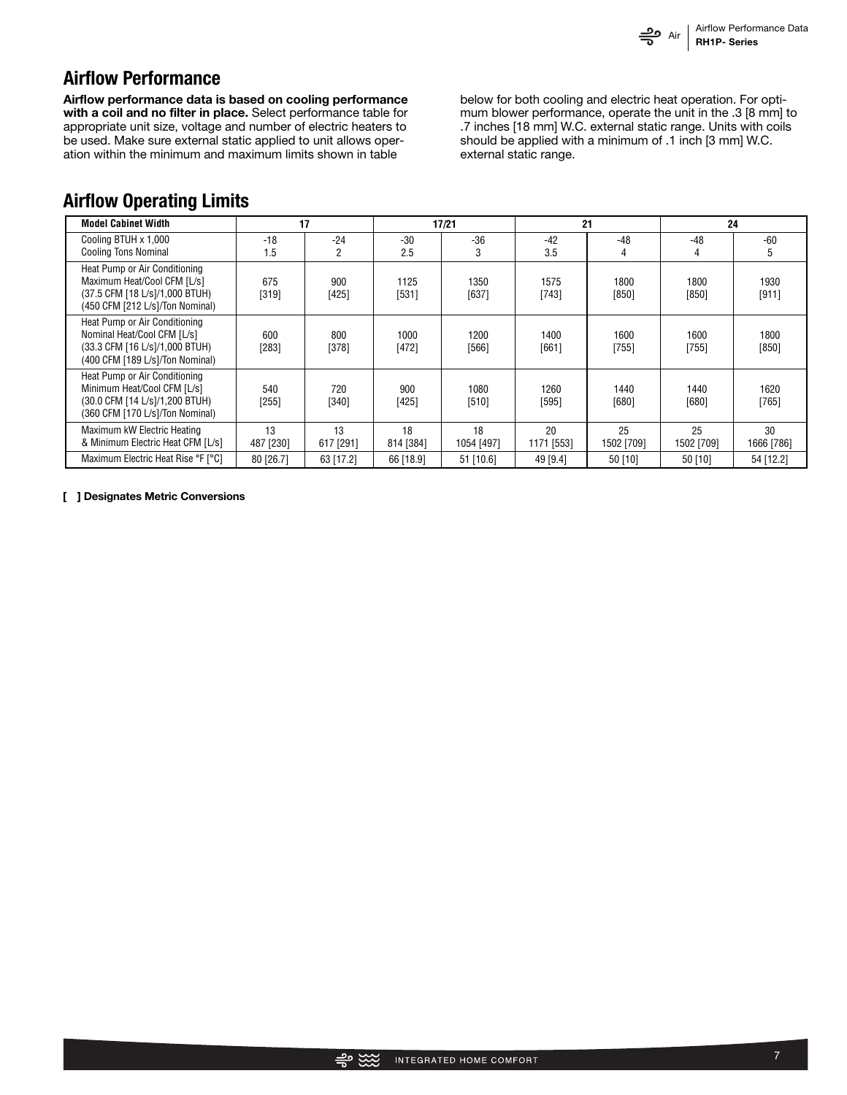## **Airflow Performance**

**Airflow performance data is based on cooling performance with a coil and no filter in place.** Select performance table for appropriate unit size, voltage and number of electric heaters to be used. Make sure external static applied to unit allows operation within the minimum and maximum limits shown in table

below for both cooling and electric heat operation. For optimum blower performance, operate the unit in the .3 [8 mm] to .7 inches [18 mm] W.C. external static range. Units with coils should be applied with a minimum of .1 inch [3 mm] W.C. external static range.

## **Airflow Operating Limits**

| <b>Model Cabinet Width</b>                                                                                                        | 17              |                 |                 | 17/21            |                  | 21               | 24               |                  |  |
|-----------------------------------------------------------------------------------------------------------------------------------|-----------------|-----------------|-----------------|------------------|------------------|------------------|------------------|------------------|--|
| Cooling BTUH x 1,000<br><b>Cooling Tons Nominal</b>                                                                               | -18<br>1.5      | $-24$<br>2      | -30<br>2.5      | $-36$<br>3       | $-42$<br>3.5     | -48<br>4         | $-48$<br>4       | $-60$<br>5       |  |
| Heat Pump or Air Conditioning<br>Maximum Heat/Cool CFM [L/s]<br>(37.5 CFM [18 L/s]/1,000 BTUH)<br>(450 CFM [212 L/s]/Ton Nominal) | 675<br>[319]    | 900<br>$[425]$  | 1125<br>[531]   | 1350<br>$[637]$  | 1575<br>[743]    | 1800<br>[850]    | 1800<br>$[850]$  | 1930<br>[911]    |  |
| Heat Pump or Air Conditioning<br>Nominal Heat/Cool CFM [L/s]<br>(33.3 CFM [16 L/s]/1,000 BTUH)<br>(400 CFM [189 L/s]/Ton Nominal) | 600<br>[283]    | 800<br>$[378]$  | 1000<br>[472]   | 1200<br>$[566]$  | 1400<br>[661]    | 1600<br>[755]    | 1600<br>$[755]$  | 1800<br>$[850]$  |  |
| Heat Pump or Air Conditioning<br>Minimum Heat/Cool CFM [L/s]<br>(30.0 CFM [14 L/s]/1,200 BTUH)<br>(360 CFM [170 L/s]/Ton Nominal) | 540<br>$[255]$  | 720<br>[340]    | 900<br>[425]    | 1080<br>$[510]$  | 1260<br>[595]    | 1440<br>[680]    | 1440<br>[680]    | 1620<br>$[765]$  |  |
| Maximum kW Electric Heating<br>& Minimum Electric Heat CFM [L/s]                                                                  | 13<br>487 [230] | 13<br>617 [291] | 18<br>814 [384] | 18<br>1054 [497] | 20<br>1171 [553] | 25<br>1502 [709] | 25<br>1502 [709] | 30<br>1666 [786] |  |
| Maximum Electric Heat Rise °F [°C]                                                                                                | 80 [26.7]       | 63 [17.2]       | 66 [18.9]       | $51$ [10.6]      | 49 [9.4]         | 50[10]           | 50[10]           | 54 [12.2]        |  |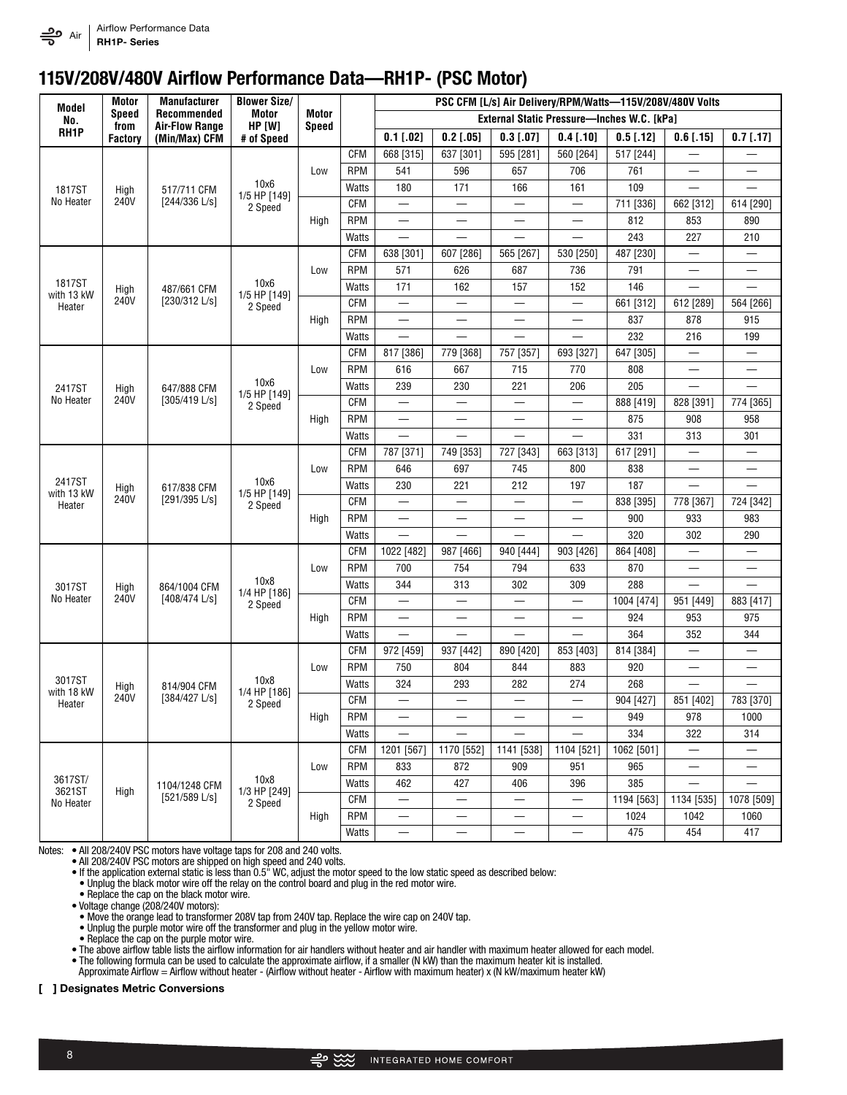

## **115V/208V/480V Airflow Performance Data—RH1P- (PSC Motor)**

| Model                           | Motor                             | <b>Manufacturer</b>                  | <b>Blower Size/</b>             |                                |                          | PSC CFM [L/s] Air Delivery/RPM/Watts-115V/208V/480V Volts |                                   |                                            |                                |                          |                                |                                |
|---------------------------------|-----------------------------------|--------------------------------------|---------------------------------|--------------------------------|--------------------------|-----------------------------------------------------------|-----------------------------------|--------------------------------------------|--------------------------------|--------------------------|--------------------------------|--------------------------------|
| No.                             | <b>Speed</b><br>from              | Recommended<br><b>Air-Flow Range</b> | <b>Motor</b><br><b>HP [W]</b>   | Motor<br><b>Speed</b>          |                          |                                                           |                                   | External Static Pressure-Inches W.C. [kPa] |                                |                          |                                |                                |
| RH1P                            | Factory                           | (Min/Max) CFM                        | # of Speed                      |                                |                          | $0.1$ [.02]                                               | $0.2$ [.05]                       | $0.3$ [.07]                                | $0.4$ [.10]                    | $0.5$ [.12]              | $0.6$ [.15]                    | $0.7$ [.17]                    |
|                                 |                                   |                                      |                                 |                                | <b>CFM</b>               | 668 [315]                                                 | 637 [301]                         | 595 [281]                                  | 560 [264]                      | 517 [244]                |                                |                                |
|                                 |                                   |                                      |                                 | Low                            | <b>RPM</b>               | 541                                                       | 596                               | 657                                        | 706                            | 761                      | $\overline{\phantom{0}}$       | $\overline{\phantom{0}}$       |
| 1817ST                          | High                              | 517/711 CFM                          | 10x6                            |                                | <b>Watts</b>             | 180                                                       | 171                               | 166                                        | 161                            | 109                      |                                |                                |
| No Heater                       | 240V                              | [244/336 L/s]                        | 1/5 HP [149]<br>2 Speed         |                                | <b>CFM</b>               |                                                           | $\overline{\phantom{0}}$          |                                            |                                | 711 [336]                | 662 [312]                      | 614 [290]                      |
|                                 |                                   |                                      |                                 | High                           | <b>RPM</b>               | $\overline{\phantom{0}}$                                  | —                                 | $\overline{\phantom{0}}$                   | $\overline{\phantom{0}}$       | 812                      | 853                            | 890                            |
|                                 |                                   |                                      |                                 |                                | Watts                    | $\overline{\phantom{0}}$                                  |                                   | $\overline{\phantom{0}}$                   |                                | 243                      | 227                            | 210                            |
|                                 |                                   |                                      |                                 |                                | <b>CFM</b>               | 638 [301]                                                 | 607 [286]                         | 565 [267]                                  | 530 [250]                      | 487 [230]                |                                |                                |
|                                 |                                   |                                      |                                 | Low                            | <b>RPM</b>               | 571                                                       | 626                               | 687                                        | 736                            | 791                      | $\qquad \qquad$                | $\qquad \qquad -$              |
| 1817ST                          | 487/661 CFM<br>High<br>with 13 kW |                                      | 10x6                            |                                | <b>Watts</b>             | 171                                                       | 162                               | 157                                        | 152                            | 146                      |                                |                                |
| 240V<br>[230/312 L/s]<br>Heater | 1/5 HP [149]<br>2 Speed           |                                      | <b>CFM</b>                      | $\overline{\phantom{0}}$       | —                        | $\overline{\phantom{0}}$                                  |                                   | 661 [312]                                  | 612 [289]                      | 564 [266]                |                                |                                |
|                                 |                                   | High                                 | <b>RPM</b>                      | $\qquad \qquad \longleftarrow$ | —                        | —                                                         | $\qquad \qquad$                   | 837                                        | 878                            | 915                      |                                |                                |
|                                 |                                   |                                      | <b>Watts</b>                    |                                | —                        | —                                                         | $\overbrace{\phantom{123221111}}$ | 232                                        | 216                            | 199                      |                                |                                |
|                                 |                                   |                                      |                                 | <b>CFM</b>                     | 817 [386]                | 779 [368]                                                 | 757 [357]                         | 693 [327]                                  | 647 [305]                      | $\overline{\phantom{0}}$ | $\qquad \qquad \longleftarrow$ |                                |
|                                 |                                   |                                      |                                 | Low                            | <b>RPM</b>               | 616                                                       | 667                               | 715                                        | 770                            | 808                      | $\overline{\phantom{0}}$       | $\qquad \qquad \longleftarrow$ |
|                                 | 2417ST<br>647/888 CFM<br>High     | 10x6                                 |                                 | <b>Watts</b>                   | 239                      | 230                                                       | 221                               | 206                                        | 205                            |                          |                                |                                |
| No Heater                       | 240V                              | [305/419 L/s]                        | 1/5 HP [149]<br>2 Speed         |                                | <b>CFM</b>               |                                                           | $\overline{\phantom{m}}$          | $\overline{\phantom{0}}$                   | $\qquad \qquad \longleftarrow$ | 888 [419]                | 828 [391]                      | 774 [365]                      |
|                                 |                                   |                                      | High                            | <b>RPM</b>                     | $\overline{\phantom{0}}$ | —                                                         | —                                 | —                                          | 875                            | 908                      | 958                            |                                |
|                                 |                                   |                                      |                                 | <b>Watts</b>                   |                          | —                                                         |                                   |                                            | 331                            | 313                      | 301                            |                                |
|                                 |                                   |                                      |                                 |                                | <b>CFM</b>               | 787 [371]                                                 | 749 [353]                         | 727 [343]                                  | 663 [313]                      | 617 [291]                |                                |                                |
|                                 |                                   | 617/838 CFM<br>[291/395 L/s]         | 10x6<br>1/5 HP [149]<br>2 Speed | Low                            | <b>RPM</b>               | 646                                                       | 697                               | 745                                        | 800                            | 838                      | —                              | $\qquad \qquad -$              |
| 2417ST                          | High                              |                                      |                                 |                                | <b>Watts</b>             | 230                                                       | 221                               | 212                                        | 197                            | 187                      |                                | —                              |
| with 13 kW<br>Heater            | 240V                              |                                      |                                 | High                           | <b>CFM</b>               |                                                           | $\overline{\phantom{0}}$          | —                                          | $\qquad \qquad \longleftarrow$ | 838 [395]                | 778 [367]                      | 724 [342]                      |
|                                 |                                   |                                      |                                 |                                | <b>RPM</b>               | $\overline{\phantom{m}}$                                  | $\overline{\phantom{0}}$          | —                                          | —                              | 900                      | 933                            | 983                            |
|                                 |                                   |                                      |                                 |                                | <b>Watts</b>             | $\overline{\phantom{m}}$                                  | -                                 |                                            |                                | 320                      | 302                            | 290                            |
|                                 |                                   |                                      |                                 | Low                            | <b>CFM</b>               | 1022 [482]                                                | 987 [466]                         | 940 [444]                                  | 903 [426]                      | 864 [408]                |                                |                                |
|                                 |                                   |                                      |                                 |                                | <b>RPM</b>               | 700                                                       | 754                               | 794                                        | 633                            | 870                      | $\qquad \qquad \longleftarrow$ | $\qquad \qquad -$              |
| 3017ST                          | High                              | 864/1004 CFM                         | 10x8                            |                                | <b>Watts</b>             | 344                                                       | 313                               | 302                                        | 309                            | 288                      |                                |                                |
| No Heater                       | 240V                              | [408/474 L/s]                        | 1/4 HP [186]<br>2 Speed         |                                | <b>CFM</b>               | $\qquad \qquad -$                                         | $\overline{\phantom{m}}$          | $\qquad \qquad \longleftarrow$             | $\qquad \qquad \longleftarrow$ | 1004 [474]               | 951 [449]                      | 883 [417]                      |
|                                 |                                   |                                      |                                 | High                           | <b>RPM</b>               | $\overbrace{\phantom{13333}}$                             | —                                 | —                                          | —                              | 924                      | 953                            | 975                            |
|                                 |                                   |                                      |                                 |                                | <b>Watts</b>             |                                                           | —                                 |                                            |                                | 364                      | 352                            | 344                            |
|                                 |                                   |                                      |                                 |                                | <b>CFM</b>               | 972 [459]                                                 | 937 [442]                         | 890 [420]                                  | 853 [403]                      | 814 [384]                | $\qquad \qquad \longleftarrow$ | $\qquad \qquad \longleftarrow$ |
|                                 |                                   |                                      |                                 | Low                            | <b>RPM</b>               | 750                                                       | 804                               | 844                                        | 883                            | 920                      | —                              | $\qquad \qquad -$              |
| 3017ST<br>with 18 kW            | High                              | 814/904 CFM                          | 10x8                            |                                | <b>Watts</b>             | 324                                                       | 293                               | 282                                        | 274                            | 268                      |                                |                                |
| Heater                          | 240V                              | [384/427 L/s]                        | 1/4 HP [186]<br>2 Speed         |                                | <b>CFM</b>               |                                                           | $\overline{\phantom{0}}$          |                                            | $\overline{\phantom{0}}$       | 904 [427]                | 851 [402]                      | 783 [370]                      |
|                                 |                                   |                                      |                                 | High                           | <b>RPM</b>               |                                                           |                                   | $\overline{\phantom{0}}$                   |                                | 949                      | 978                            | 1000                           |
|                                 |                                   |                                      |                                 |                                | <b>Watts</b>             |                                                           | $\overline{\phantom{0}}$          |                                            |                                | 334                      | 322                            | 314                            |
|                                 |                                   |                                      |                                 |                                | <b>CFM</b>               | 1201 [567]                                                | 1170 [552]                        | 1141 [538]                                 | 1104 [521]                     | 1062 [501]               |                                |                                |
|                                 |                                   |                                      |                                 | Low                            | <b>RPM</b>               | 833                                                       | 872                               | 909                                        | 951                            | 965                      | $\overline{\phantom{0}}$       |                                |
| 3617ST/<br>3621ST               | High                              | 1104/1248 CFM                        | 10x8                            |                                | Watts                    | 462                                                       | 427                               | 406                                        | 396                            | 385                      | $\overline{\phantom{m}}$       |                                |
| No Heater                       |                                   | [521/589 L/s]                        | 1/3 HP [249]<br>2 Speed         |                                | <b>CFM</b>               | $\overline{\phantom{0}}$                                  | $\overline{\phantom{0}}$          |                                            |                                | 1194 [563]               | 1134 [535]                     | 1078 [509]                     |
|                                 |                                   |                                      |                                 | High                           | <b>RPM</b>               | $\overline{\phantom{0}}$                                  |                                   |                                            |                                | 1024                     | 1042                           | 1060                           |
|                                 |                                   |                                      |                                 |                                | Watts                    | $\overline{\phantom{0}}$                                  |                                   |                                            |                                | 475                      | 454                            | 417                            |

Notes: • All 208/240V PSC motors have voltage taps for 208 and 240 volts.

• All 208/240V PSC motors are shipped on high speed and 240 volts. • If the application external static is less than 0.5" WC, adjust the motor speed to the low static speed as described below:

• Unplug the black motor wire off the relay on the control board and plug in the red motor wire.

• Replace the cap on the black motor wire. • Voltage change (208/240V motors):

• Move the orange lead to transformer 208V tap from 240V tap. Replace the wire cap on 240V tap. • Unplug the purple motor wire off the transformer and plug in the yellow motor wire.

• Replace the cap on the purple motor wire.

• The above airflow table lists the airflow information for air handlers without heater and air handler with maximum heater allowed for each model.<br>• The following formula can be used to calculate the approximate airflow,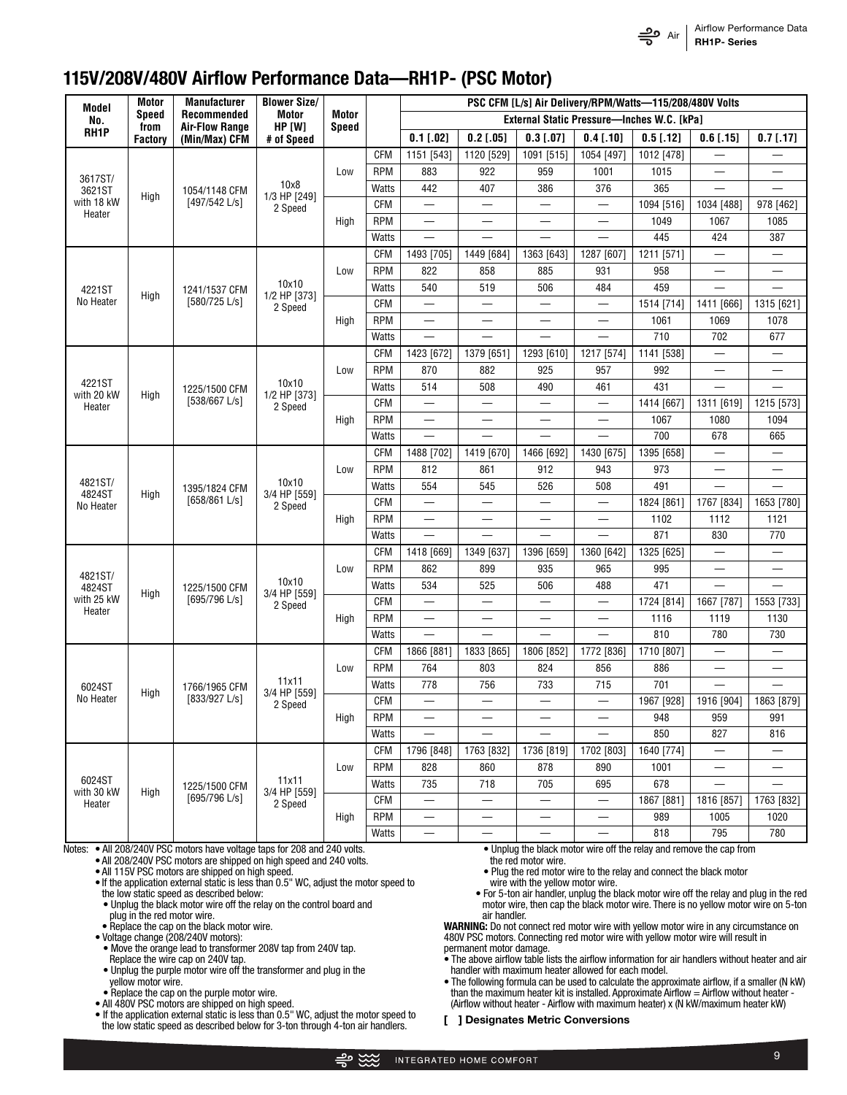## **115V/208V/480V Airflow Performance Data—RH1P- (PSC Motor)**

| Model                              | Motor                   | <b>Manufacturer</b>                  | <b>Blower Size/</b>              |              |                          | PSC CFM [L/s] Air Delivery/RPM/Watts-115/208/480V Volts |                          |                          |                          |             |                          |                          |  |
|------------------------------------|-------------------------|--------------------------------------|----------------------------------|--------------|--------------------------|---------------------------------------------------------|--------------------------|--------------------------|--------------------------|-------------|--------------------------|--------------------------|--|
| No.                                | <b>Speed</b>            | Recommended<br><b>Air-Flow Range</b> | <b>Motor</b><br>HP [W]           | Motor        |                          | External Static Pressure-Inches W.C. [kPa]              |                          |                          |                          |             |                          |                          |  |
| RH1P                               | from<br><b>Factory</b>  | (Min/Max) CFM                        | # of Speed                       | <b>Speed</b> |                          | $0.1$ [.02]                                             | $0.2$ [.05]              | $0.3$ [.07]              | $0.4$ [.10]              | $0.5$ [.12] | $0.6$ [.15]              | $0.7$ [.17]              |  |
|                                    |                         |                                      |                                  |              | <b>CFM</b>               | 1151 [543]                                              | 1120 [529]               | 1091 [515]               | 1054 [497]               | 1012 [478]  |                          |                          |  |
| 3617ST/                            |                         |                                      |                                  | Low          | <b>RPM</b>               | 883                                                     | 922                      | 959                      | 1001                     | 1015        |                          |                          |  |
| 3621ST                             |                         | 1054/1148 CFM                        | 10x8                             |              | Watts                    | 442                                                     | 407                      | 386                      | 376                      | 365         |                          |                          |  |
| with 18 kW                         | High                    | [497/542 L/s]                        | 1/3 HP [249]<br>2 Speed          |              | <b>CFM</b>               | $\overline{\phantom{0}}$                                | —                        | —                        |                          | 1094 [516]  | 1034 [488]               | 978 [462]                |  |
| Heater                             |                         |                                      |                                  | High         | <b>RPM</b>               | —                                                       | —                        | —                        | $\overline{\phantom{0}}$ | 1049        | 1067                     | 1085                     |  |
|                                    |                         |                                      |                                  |              | <b>Watts</b>             |                                                         |                          |                          |                          | 445         | 424                      | 387                      |  |
|                                    |                         |                                      |                                  |              | <b>CFM</b>               | 1493 [705]                                              | 1449 [684]               | 1363 [643]               | 1287 [607]               | 1211 [571]  | $\overline{\phantom{0}}$ |                          |  |
|                                    |                         |                                      |                                  | Low          | <b>RPM</b>               | 822                                                     | 858                      | 885                      | 931                      | 958         |                          | —                        |  |
| 4221ST                             |                         | 1241/1537 CFM                        | 10x10                            |              | <b>Watts</b>             | 540                                                     | 519                      | 506                      | 484                      | 459         |                          |                          |  |
| High<br>No Heater<br>[580/725 L/s] | 1/2 HP [373]<br>2 Speed |                                      | <b>CFM</b>                       | —            |                          | —                                                       |                          | 1514 [714]               | 1411 [666]               | 1315 [621]  |                          |                          |  |
|                                    |                         |                                      | High                             | <b>RPM</b>   | $\overline{\phantom{m}}$ |                                                         | —                        |                          | 1061                     | 1069        | 1078                     |                          |  |
|                                    |                         |                                      |                                  | <b>Watts</b> |                          |                                                         |                          |                          | 710                      | 702         | 677                      |                          |  |
|                                    |                         |                                      |                                  |              | <b>CFM</b>               | 1423 [672]                                              | 1379 [651]               | 1293 [610]               | 1217 [574]               | 1141 [538]  | $\overline{\phantom{0}}$ |                          |  |
|                                    |                         |                                      |                                  | Low          | <b>RPM</b>               | 870                                                     | 882                      | 925                      | 957                      | 992         |                          |                          |  |
| 4221ST<br>with 20 kW               | High                    | 1225/1500 CFM                        | 10x10<br>1/2 HP [373]            |              | <b>Watts</b>             | 514                                                     | 508                      | 490                      | 461                      | 431         |                          |                          |  |
| Heater                             |                         | [538/667 L/s]                        | 2 Speed                          |              | <b>CFM</b>               |                                                         | —                        | —                        | $\overline{\phantom{m}}$ | 1414 [667]  | 1311 [619]               | 1215 [573]               |  |
|                                    |                         |                                      |                                  | High         | <b>RPM</b>               |                                                         |                          |                          |                          | 1067        | 1080                     | 1094                     |  |
|                                    |                         |                                      |                                  | <b>Watts</b> |                          |                                                         |                          |                          | 700                      | 678         | 665                      |                          |  |
|                                    |                         |                                      | 10x10<br>3/4 HP [559]<br>2 Speed | Low          | <b>CFM</b>               | 1488 [702]                                              | 1419 [670]               | 1466 [692]               | 1430 [675]               | 1395 [658]  | —                        |                          |  |
|                                    |                         |                                      |                                  |              | <b>RPM</b>               | 812                                                     | 861                      | 912                      | 943                      | 973         |                          |                          |  |
| 4821ST/<br>4824ST                  | High                    | 1395/1824 CFM<br>[658/861 L/s]       |                                  |              | Watts                    | 554                                                     | 545                      | 526                      | 508                      | 491         |                          |                          |  |
| No Heater                          |                         |                                      |                                  | High         | <b>CFM</b>               |                                                         |                          | $\overline{\phantom{0}}$ |                          | 1824 [861]  | 1767 [834]               | 1653 [780]               |  |
|                                    |                         |                                      |                                  |              | <b>RPM</b>               | $\overline{\phantom{0}}$                                | $\overline{\phantom{0}}$ |                          |                          | 1102        | 1112                     | 1121                     |  |
|                                    |                         |                                      |                                  |              | <b>Watts</b>             |                                                         | $\overline{\phantom{0}}$ |                          |                          | 871         | 830                      | 770                      |  |
|                                    |                         |                                      |                                  |              | <b>CFM</b>               | 1418 [669]                                              | 1349 [637]               | 1396 [659]               | 1360 [642]               | 1325 [625]  | —                        |                          |  |
| 4821ST/                            |                         |                                      |                                  | Low          | <b>RPM</b>               | 862                                                     | 899                      | 935                      | 965                      | 995         |                          |                          |  |
| 4824ST                             | High                    | 1225/1500 CFM                        | 10x10<br>3/4 HP [559]            |              | <b>Watts</b>             | 534                                                     | 525                      | 506                      | 488                      | 471         | $\equiv$                 |                          |  |
| with 25 kW<br>Heater               |                         | [695/796 L/s]                        | 2 Speed                          |              | <b>CFM</b>               | —                                                       | —                        | —                        | $\qquad \qquad -$        | 1724 [814]  | 1667 [787]               | 1553 [733]               |  |
|                                    |                         |                                      |                                  | High         | <b>RPM</b>               | $\overline{\phantom{0}}$                                |                          |                          |                          | 1116        | 1119                     | 1130                     |  |
|                                    |                         |                                      |                                  |              | <b>Watts</b>             |                                                         | $\overline{\phantom{0}}$ |                          |                          | 810         | 780                      | 730                      |  |
|                                    |                         |                                      |                                  |              | <b>CFM</b>               | 1866 [881]                                              | 1833 [865]               | 1806 [852]               | 1772 [836]               | 1710 [807]  |                          |                          |  |
|                                    |                         |                                      |                                  | Low          | <b>RPM</b>               | 764                                                     | 803                      | 824                      | 856                      | 886         | $\equiv$                 |                          |  |
| 6024ST                             | High                    | 1766/1965 CFM                        | 11x11<br>3/4 HP [559]            |              | <b>Watts</b>             | 778                                                     | 756                      | 733                      | 715                      | 701         |                          |                          |  |
| No Heater                          |                         | [833/927 L/s]                        | 2 Speed                          |              | <b>CFM</b>               |                                                         | $\overline{\phantom{0}}$ |                          |                          | 1967 [928]  | 1916 [904]               | 1863 [879]               |  |
|                                    |                         |                                      |                                  | High         | <b>RPM</b>               |                                                         |                          |                          |                          | 948         | 959                      | 991                      |  |
|                                    |                         |                                      |                                  |              | <b>Watts</b>             | $\equiv$                                                | $\overline{\phantom{0}}$ | $\equiv$                 | $\equiv$                 | 850         | 827                      | 816                      |  |
|                                    |                         |                                      |                                  |              | <b>CFM</b>               | 1796 [848]                                              | 1763 [832]               | 1736 [819]               | 1702 [803]               | 1640 [774]  | —                        | —                        |  |
|                                    |                         |                                      |                                  | Low          | <b>RPM</b>               | 828                                                     | 860                      | 878                      | 890                      | 1001        | $\equiv$                 |                          |  |
| 6024ST<br>with 30 kW               | High                    | 1225/1500 CFM                        | 11x11<br>3/4 HP [559]            |              | <b>Watts</b>             | 735                                                     | 718                      | 705                      | 695                      | 678         | $\equiv$                 | $\overline{\phantom{0}}$ |  |
| Heater                             |                         | [695/796 L/s]                        | 2 Speed                          |              | <b>CFM</b>               |                                                         | $\overline{\phantom{0}}$ | $\equiv$                 |                          | 1867 [881]  | 1816 [857]               | 1763 [832]               |  |
|                                    |                         |                                      |                                  | High         | <b>RPM</b>               | $\overline{\phantom{0}}$                                | —                        |                          | $\overline{\phantom{0}}$ | 989         | 1005                     | 1020                     |  |
|                                    |                         |                                      |                                  |              | Watts                    |                                                         |                          |                          | $\overline{\phantom{0}}$ | 818         | 795                      | 780                      |  |

Notes: • All 208/240V PSC motors have voltage taps for 208 and 240 volts.

• All 208/240V PSC motors are shipped on high speed and 240 volts.

• All 115V PSC motors are shipped on high speed

• If the application external static is less than 0.5" WC, adjust the motor speed to the low static speed as described below:

• Unplug the black motor wire off the relay on the control board and

plug in the red motor wire. • Replace the cap on the black motor wire.

• Voltage change (208/240V motors):

• Move the orange lead to transformer 208V tap from 240V tap.

Replace the wire cap on 240V tap.

• Unplug the purple motor wire off the transformer and plug in the yellow motor wire.

• Replace the cap on the purple motor wire.

• All 480V PSC motors are shipped on high speed.

• If the application external static is less than 0.5" WC, adjust the motor speed to the low static speed as described below for 3-ton through 4-ton air handlers.

• Unplug the black motor wire off the relay and remove the cap from

the red motor wire.

• Plug the red motor wire to the relay and connect the black motor

wire with the yellow motor wire.

• For 5-ton air handler, unplug the black motor wire off the relay and plug in the red motor wire, then cap the black motor wire. There is no yellow motor wire on 5-ton air handler.

**WARNING:** Do not connect red motor wire with yellow motor wire in any circumstance on 480V PSC motors. Connecting red motor wire with yellow motor wire will result in permanent motor damage.

• The above airflow table lists the airflow information for air handlers without heater and air handler with maximum heater allowed for each model.

• The following formula can be used to calculate the approximate airflow, if a smaller (N kW) than the maximum heater kit is installed. Approximate Airflow  $=$  Airflow without heater (Airflow without heater - Airflow with maximum heater) x (N kW/maximum heater kW)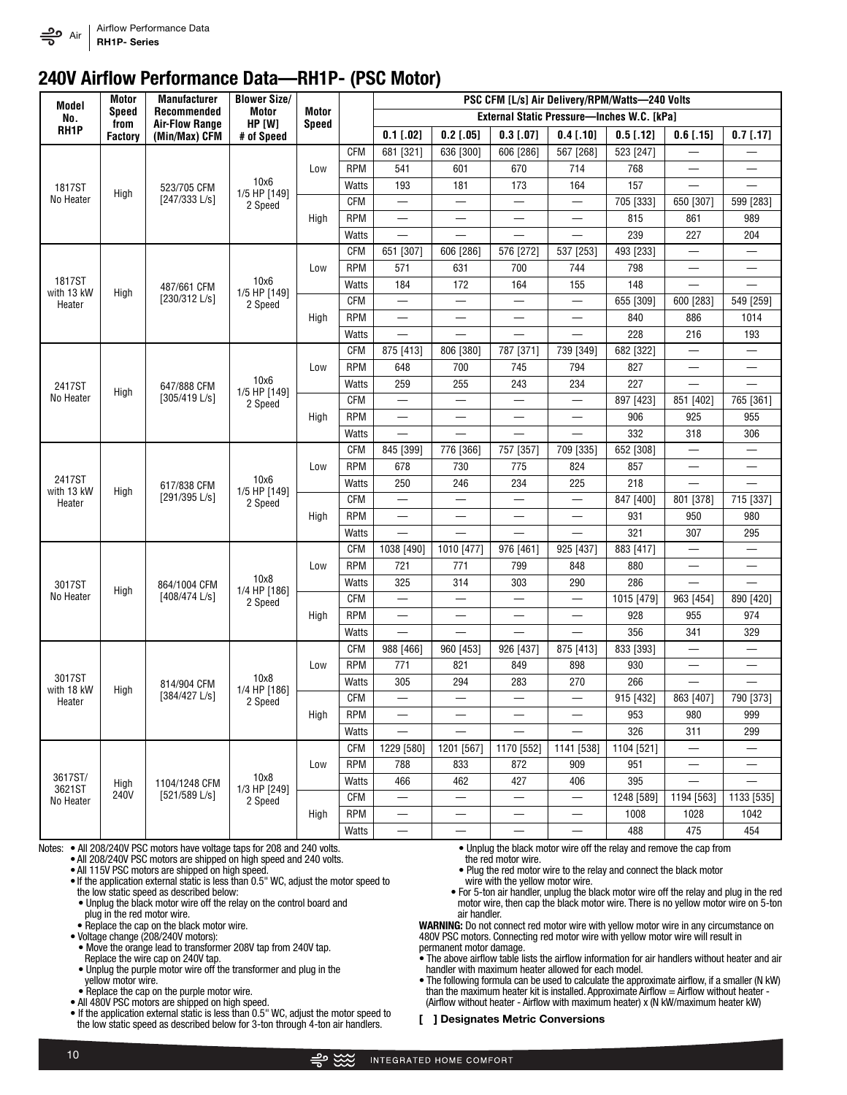

## **240V Airflow Performance Data—RH1P- (PSC Motor)**

| Model                              | Motor                   | <b>Manufacturer</b>                  | <b>Blower Size/</b>           |                          |                                | PSC CFM [L/s] Air Delivery/RPM/Watts-240 Volts |                                |                                   |                                  |                                            |                                  |                                 |
|------------------------------------|-------------------------|--------------------------------------|-------------------------------|--------------------------|--------------------------------|------------------------------------------------|--------------------------------|-----------------------------------|----------------------------------|--------------------------------------------|----------------------------------|---------------------------------|
| No.                                | <b>Speed</b><br>from    | Recommended<br><b>Air-Flow Range</b> | <b>Motor</b><br><b>HP [W]</b> | Motor<br><b>Speed</b>    |                                |                                                |                                |                                   |                                  | External Static Pressure-Inches W.C. [kPa] |                                  |                                 |
| RH1P                               | Factory                 | (Min/Max) CFM                        | # of Speed                    |                          |                                | $0.1$ [.02]                                    | $0.2$ [.05]                    | $0.3$ [.07]                       | $0.4$ [.10]                      | $0.5$ [.12]                                | $0.6$ [.15]                      | $0.7$ [.17]                     |
|                                    |                         |                                      |                               |                          | <b>CFM</b>                     | 681 [321]                                      | 636 [300]                      | 606 [286]                         | 567 [268]                        | 523 [247]                                  |                                  |                                 |
|                                    |                         |                                      |                               | Low                      | <b>RPM</b>                     | 541                                            | 601                            | 670                               | 714                              | 768                                        | $\qquad \qquad \longleftarrow$   | $\qquad \qquad \longleftarrow$  |
| 1817ST                             |                         | 523/705 CFM                          | 10x6                          |                          | Watts                          | 193                                            | 181                            | 173                               | 164                              | 157                                        | $\overline{\phantom{0}}$         |                                 |
| No Heater                          | High                    | [247/333 L/s]                        | 1/5 HP [149]<br>2 Speed       |                          | <b>CFM</b>                     | —                                              | $\overline{\phantom{0}}$       |                                   |                                  | 705 [333]                                  | 650 [307]                        | 599 [283]                       |
|                                    |                         |                                      |                               | High                     | <b>RPM</b>                     | $\overline{\phantom{0}}$                       | —                              | —                                 | $\qquad \qquad \longleftarrow$   | 815                                        | 861                              | 989                             |
|                                    |                         |                                      |                               |                          | Watts                          | $\overline{\phantom{0}}$                       | $\overline{\phantom{0}}$       | —                                 |                                  | 239                                        | 227                              | 204                             |
|                                    |                         |                                      |                               |                          | <b>CFM</b>                     | 651 [307]                                      | 606 [286]                      | 576 [272]                         | 537 [253]                        | 493 [233]                                  |                                  | $\qquad \qquad \longleftarrow$  |
|                                    |                         |                                      |                               | Low                      | <b>RPM</b>                     | 571                                            | 631                            | 700                               | 744                              | 798                                        | $\qquad \qquad -$                | $\qquad \qquad$                 |
| 1817ST                             |                         | 487/661 CFM                          | 10x6                          |                          | Watts                          | 184                                            | 172                            | 164                               | 155                              | 148                                        | —                                |                                 |
| with 13 kW<br>Heater               | High                    | [230/312 L/s]                        | 1/5 HP [149]<br>2 Speed       |                          | <b>CFM</b>                     | $\overline{\phantom{0}}$                       | $\overline{\phantom{0}}$       | $\overline{\phantom{0}}$          | $\overline{\phantom{0}}$         | 655 [309]                                  | 600 [283]                        | 549 [259]                       |
|                                    |                         |                                      | High                          | <b>RPM</b>               |                                | —                                              | —                              | $\qquad \qquad \longleftarrow$    | 840                              | 886                                        | 1014                             |                                 |
|                                    |                         |                                      | Watts                         |                          | $\qquad \qquad \longleftarrow$ | —                                              | $\overline{\phantom{0}}$       | 228                               | 216                              | 193                                        |                                  |                                 |
|                                    |                         |                                      |                               |                          | <b>CFM</b>                     | 875 [413]                                      | 806 [380]                      | 787 [371]                         | 739 [349]                        | 682 [322]                                  | $\qquad \qquad \longleftarrow$   | $\overline{\phantom{0}}$        |
|                                    |                         |                                      |                               | Low                      | <b>RPM</b>                     | 648                                            | 700                            | 745                               | 794                              | 827                                        | —                                | $\qquad \qquad$                 |
|                                    | 2417ST<br>647/888 CFM   | 10x6                                 |                               | Watts                    | 259                            | 255                                            | 243                            | 234                               | 227                              | $\qquad \qquad$                            |                                  |                                 |
| High<br>[305/419 L/s]<br>No Heater | 1/5 HP [149]<br>2 Speed |                                      | <b>CFM</b>                    | $\overline{\phantom{0}}$ | $\overline{\phantom{0}}$       | $\overline{\phantom{0}}$                       | $\qquad \qquad \longleftarrow$ | 897 [423]                         | 851 [402]                        | 765 [361]                                  |                                  |                                 |
|                                    |                         |                                      | High                          | <b>RPM</b>               | $\overline{\phantom{0}}$       | $\qquad \qquad \longleftarrow$                 | —                              |                                   | 906                              | 925                                        | 955                              |                                 |
|                                    |                         |                                      |                               | Watts                    |                                | —                                              | —                              | $\overbrace{\phantom{123221111}}$ | 332                              | 318                                        | 306                              |                                 |
|                                    |                         |                                      |                               |                          | <b>CFM</b>                     | 845 [399]                                      | 776 [366]                      | 757 [357]                         | 709 [335]                        | 652 [308]                                  | $\qquad \qquad -$                | $\qquad \qquad -$               |
|                                    |                         | 617/838 CFM<br>[291/395 L/s]         | 10x6                          | Low                      | <b>RPM</b>                     | 678                                            | 730                            | 775                               | 824                              | 857                                        | —                                | $\qquad \qquad \longleftarrow$  |
| 2417ST                             |                         |                                      |                               |                          | Watts                          | 250                                            | 246                            | 234                               | 225                              | 218                                        | $\overline{\phantom{0}}$         | $\qquad \qquad$                 |
| with 13 kW<br>Heater               | High                    |                                      | 1/5 HP [149]<br>2 Speed       |                          | <b>CFM</b>                     |                                                | $\qquad \qquad \longleftarrow$ | $\qquad \qquad$                   | $\qquad \qquad \longleftarrow$   | 847 [400]                                  | 801 [378]                        | 715 [337]                       |
|                                    |                         |                                      |                               | High                     | <b>RPM</b>                     |                                                | $\qquad \qquad -$              | $\overbrace{\phantom{12322111}}$  | $\overbrace{\phantom{12322111}}$ | 931                                        | 950                              | 980                             |
|                                    |                         |                                      |                               |                          | Watts                          |                                                | $\qquad \qquad -$              | —                                 |                                  | 321                                        | 307                              | 295                             |
|                                    |                         |                                      |                               |                          | <b>CFM</b>                     | 1038 [490]                                     | 1010 [477]                     | 976 [461]                         | 925 [437]                        | 883 [417]                                  | $\qquad \qquad -$                | $\qquad \qquad -$               |
|                                    |                         |                                      |                               | Low                      | <b>RPM</b>                     | 721                                            | 771                            | 799                               | 848                              | 880                                        | $\qquad \qquad -$                | $\hspace{0.1mm}-\hspace{0.1mm}$ |
| 3017ST                             |                         | 864/1004 CFM                         | 10x8                          |                          | Watts                          | 325                                            | 314                            | 303                               | 290                              | 286                                        | $\overbrace{\phantom{12322111}}$ | $\qquad \qquad -$               |
| No Heater                          | High                    | [408/474 L/s]                        | 1/4 HP [186]<br>2 Speed       |                          | <b>CFM</b>                     |                                                | $\qquad \qquad -$              | $\overbrace{\phantom{123221111}}$ | —                                | 1015 [479]                                 | 963 [454]                        | 890 [420]                       |
|                                    |                         |                                      |                               | High                     | <b>RPM</b>                     |                                                | $\overline{\phantom{0}}$       | —                                 |                                  | 928                                        | 955                              | 974                             |
|                                    |                         |                                      |                               |                          | Watts                          | $\overline{\phantom{0}}$                       | —                              |                                   |                                  | 356                                        | 341                              | 329                             |
|                                    |                         |                                      |                               |                          | <b>CFM</b>                     | 988 [466]                                      | 960 [453]                      | 926 [437]                         | 875 [413]                        | 833 [393]                                  | $\qquad \qquad -$                | $\qquad \qquad -$               |
|                                    |                         |                                      |                               | Low                      | <b>RPM</b>                     | 771                                            | 821                            | 849                               | 898                              | 930                                        | $\qquad \qquad -$                | $\qquad \qquad -$               |
| 3017ST                             |                         | 814/904 CFM                          | 10x8                          |                          | Watts                          | 305                                            | 294                            | 283                               | 270                              | 266                                        |                                  |                                 |
| with 18 kW<br>Heater               | High                    | [384/427 L/s]                        | 1/4 HP [186]<br>2 Speed       |                          | <b>CFM</b>                     | $\overline{\phantom{0}}$                       |                                | $\overline{\phantom{0}}$          | $\overline{\phantom{0}}$         | 915 [432]                                  | 863 [407]                        | 790 [373]                       |
|                                    |                         |                                      |                               | High                     | <b>RPM</b>                     | —                                              |                                | —                                 |                                  | 953                                        | 980                              | 999                             |
|                                    |                         |                                      |                               |                          | Watts                          | $\overline{\phantom{0}}$                       | $\overline{\phantom{0}}$       |                                   |                                  | 326                                        | 311                              | 299                             |
|                                    |                         |                                      |                               |                          | <b>CFM</b>                     | 1229 [580]                                     | 1201 [567]                     | 1170 [552]                        | 1141 [538]                       | 1104 [521]                                 | $\overline{\phantom{0}}$         | $\qquad \qquad -$               |
|                                    |                         |                                      |                               | Low                      | <b>RPM</b>                     | 788                                            | 833                            | 872                               | 909                              | 951                                        | $\overline{\phantom{0}}$         | $\overline{\phantom{0}}$        |
| 3617ST/                            | High                    | 1104/1248 CFM                        | 10x8                          |                          | Watts                          | 466                                            | 462                            | 427                               | 406                              | 395                                        | $\qquad \qquad -$                | $\qquad \qquad -$               |
| 3621ST<br>No Heater                | 240V                    | [521/589 L/s]                        | 1/3 HP [249]<br>2 Speed       | High                     | CFM                            | —                                              | $\overline{\phantom{0}}$       |                                   |                                  | 1248 [589]                                 | 1194 [563]                       | 1133 [535]                      |
|                                    |                         |                                      |                               |                          | <b>RPM</b>                     | —                                              | $\overline{\phantom{0}}$       |                                   | $\overline{\phantom{0}}$         | 1008                                       | 1028                             | 1042                            |
|                                    |                         |                                      |                               |                          | Watts                          |                                                |                                |                                   |                                  | 488                                        | 475                              | 454                             |

Notes: • All 208/240V PSC motors have voltage taps for 208 and 240 volts. • All 208/240V PSC motors are shipped on high speed and 240 volts.

• All 115V PSC motors are shipped on high speed.

• If the application external static is less than 0.5" WC, adjust the motor speed to the low static speed as described below:

- Unplug the black motor wire off the relay on the control board and
- 

plug in the red motor wire. • Replace the cap on the black motor wire.

- Voltage change (208/240V motors):
- Move the orange lead to transformer 208V tap from 240V tap.
- Replace the wire cap on 240V tap.
- Unplug the purple motor wire off the transformer and plug in the yellow motor wire.
- 
- Replace the cap on the purple motor wire.
- 
- All 480V PSC motors are shipped on high speed. If the application external static is less than 0.5" WC, adjust the motor speed to the low static speed as described below for 3-ton through 4-ton air handlers.
- Unplug the black motor wire off the relay and remove the cap from
- the red motor wire.
- Plug the red motor wire to the relay and connect the black motor
- wire with the yellow motor wire. • For 5-ton air handler, unplug the black motor wire off the relay and plug in the red motor wire, then cap the black motor wire. There is no yellow motor wire on 5-ton air handler.

**WARNING:** Do not connect red motor wire with yellow motor wire in any circumstance on 480V PSC motors. Connecting red motor wire with yellow motor wire will result in permanent motor damage.

• The above airflow table lists the airflow information for air handlers without heater and air handler with maximum heater allowed for each model.

• The following formula can be used to calculate the approximate airflow, if a smaller (N kW) than the maximum heater kit is installed. Approximate Airflow  $=$  Airflow without heater (Airflow without heater - Airflow with maximum heater) x (N kW/maximum heater kW)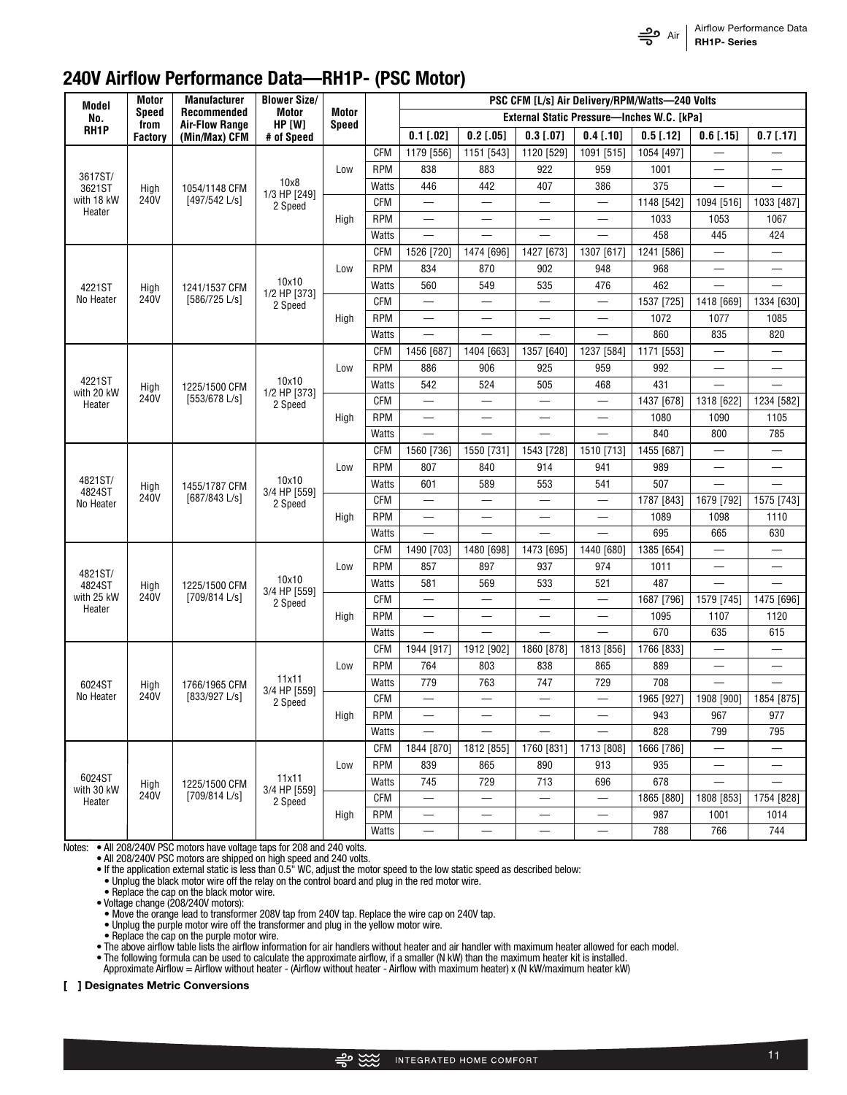## $\frac{.0}{2}$  Air

# **240V Airflow Performance Data—RH1P- (PSC Motor)**

| Model                | Motor                | <b>Manufacturer</b>                  | <b>Blower Size/</b>              |                              |              | PSC CFM [L/s] Air Delivery/RPM/Watts-240 Volts |                          |                                            |                                  |               |                          |                                |
|----------------------|----------------------|--------------------------------------|----------------------------------|------------------------------|--------------|------------------------------------------------|--------------------------|--------------------------------------------|----------------------------------|---------------|--------------------------|--------------------------------|
| No.                  | <b>Speed</b><br>from | Recommended<br><b>Air-Flow Range</b> | <b>Motor</b><br><b>HP [W]</b>    | <b>Motor</b><br><b>Speed</b> |              |                                                |                          | External Static Pressure-Inches W.C. [kPa] |                                  |               |                          |                                |
| RH1P                 | <b>Factory</b>       | (Min/Max) CFM                        | # of Speed                       |                              |              | $0.1$ [.02]                                    | $0.2$ [.05]              | $0.3$ [.07]                                | $0.4$ [.10]                      | $0.5$ $1.121$ | $0.6$ [.15]              | $0.7$ [.17]                    |
|                      |                      |                                      |                                  |                              | <b>CFM</b>   | 1179 [556]                                     | 1151 [543]               | 1120 [529]                                 | 1091 [515]                       | 1054 [497]    |                          |                                |
| 3617ST/              |                      |                                      |                                  | Low                          | <b>RPM</b>   | 838                                            | 883                      | 922                                        | 959                              | 1001          |                          |                                |
| 3621ST               | High                 | 1054/1148 CFM                        | 10x8                             |                              | <b>Watts</b> | 446                                            | 442                      | 407                                        | 386                              | 375           |                          |                                |
| with 18 kW           | 240V                 | [497/542 L/s]                        | 1/3 HP [249]<br>2 Speed          |                              | <b>CFM</b>   |                                                | —                        | —                                          | $\qquad \qquad -$                | 1148 [542]    | 1094 [516]               | 1033 [487]                     |
| Heater               |                      |                                      |                                  | High                         | <b>RPM</b>   |                                                |                          |                                            |                                  | 1033          | 1053                     | 1067                           |
|                      |                      |                                      |                                  |                              | <b>Watts</b> |                                                |                          |                                            |                                  | 458           | 445                      | 424                            |
|                      |                      |                                      |                                  |                              | <b>CFM</b>   | 1526 [720]                                     | 1474 [696]               | 1427 [673]                                 | 1307 [617]                       | 1241 [586]    |                          |                                |
|                      |                      |                                      |                                  | Low                          | <b>RPM</b>   | 834                                            | 870                      | 902                                        | 948                              | 968           |                          |                                |
| 4221ST               | High                 | 1241/1537 CFM                        | 10x10                            |                              | <b>Watts</b> | 560                                            | 549                      | 535                                        | 476                              | 462           |                          |                                |
| No Heater            | 240V                 | [586/725 L/s]                        | 1/2 HP [373]<br>2 Speed          |                              | <b>CFM</b>   |                                                |                          |                                            |                                  | 1537 [725]    | 1418 [669]               | 1334 [630]                     |
|                      |                      |                                      | High                             | <b>RPM</b>                   |              | $\equiv$                                       | $\equiv$                 | $\qquad \qquad$                            | 1072                             | 1077          | 1085                     |                                |
|                      |                      |                                      |                                  | Watts                        |              |                                                |                          |                                            | 860                              | 835           | 820                      |                                |
|                      |                      |                                      |                                  |                              | <b>CFM</b>   | 1456 [687]                                     | 1404 [663]               | 1357 [640]                                 | 1237 [584]                       | 1171 [553]    |                          |                                |
|                      |                      |                                      |                                  | Low                          | <b>RPM</b>   | 886                                            | 906                      | 925                                        | 959                              | 992           | $\overline{\phantom{0}}$ |                                |
| 4221ST               | High                 | 1225/1500 CFM                        | 10x10                            |                              | Watts        | 542                                            | 524                      | 505                                        | 468                              | 431           |                          |                                |
| with 20 kW<br>Heater | <b>240V</b>          | [553/678 L/s]                        | 1/2 HP [373]<br>2 Speed          |                              | <b>CFM</b>   | $\overline{\phantom{0}}$                       | $\overline{\phantom{0}}$ | $\equiv$                                   |                                  | 1437 [678]    | 1318 [622]               | 1234 [582]                     |
|                      |                      |                                      |                                  | High                         | <b>RPM</b>   | $\overline{\phantom{0}}$                       |                          |                                            | —                                | 1080          | 1090                     | 1105                           |
|                      |                      |                                      |                                  |                              | Watts        | $\equiv$                                       | $\overline{\phantom{0}}$ | $\overline{\phantom{0}}$                   |                                  | 840           | 800                      | 785                            |
|                      |                      |                                      |                                  |                              | <b>CFM</b>   | 1560 [736]                                     | 1550 [731]               | 1543 [728]                                 | 1510 [713]                       | 1455 [687]    |                          |                                |
|                      |                      | 1455/1787 CFM<br>[687/843 L/s]       | 10x10<br>3/4 HP [559]<br>2 Speed | Low                          | <b>RPM</b>   | 807                                            | 840                      | 914                                        | 941                              | 989           |                          |                                |
| 4821ST/<br>4824ST    | High                 |                                      |                                  |                              | Watts        | 601                                            | 589                      | 553                                        | 541                              | 507           | $\equiv$                 |                                |
| No Heater            | 240V                 |                                      |                                  | High                         | <b>CFM</b>   | $\overline{\phantom{0}}$                       | $\overline{\phantom{0}}$ |                                            | $\overbrace{\phantom{12322111}}$ | 1787 [843]    | 1679 [792]               | 1575 [743]                     |
|                      |                      |                                      |                                  |                              | <b>RPM</b>   | $\equiv$                                       | $\overline{\phantom{0}}$ | $\equiv$                                   | $\qquad \qquad -$                | 1089          | 1098                     | 1110                           |
|                      |                      |                                      |                                  |                              | Watts        | $\equiv$                                       | $\overline{\phantom{0}}$ | $\equiv$                                   | $\equiv$                         | 695           | 665                      | 630                            |
|                      |                      |                                      |                                  |                              | <b>CFM</b>   | 1490 [703]                                     | 1480 [698]               | 1473 [695]                                 | 1440 [680]                       | 1385 [654]    | $\qquad \qquad$          |                                |
| 4821ST/              |                      |                                      |                                  | Low                          | <b>RPM</b>   | 857                                            | 897                      | 937                                        | 974                              | 1011          | $\overline{\phantom{0}}$ |                                |
| 4824ST               | High                 | 1225/1500 CFM                        | 10x10                            |                              | Watts        | 581                                            | 569                      | 533                                        | 521                              | 487           | $\equiv$                 |                                |
| with 25 kW           | 240V                 | [709/814 L/s]                        | 3/4 HP [559]<br>2 Speed          |                              | <b>CFM</b>   | $\equiv$                                       | $\equiv$                 | $\equiv$                                   | $\qquad \qquad -$                | 1687 [796]    | 1579 [745]               | 1475 [696]                     |
| Heater               |                      |                                      |                                  | High                         | <b>RPM</b>   | $\overline{\phantom{0}}$                       | $\overline{\phantom{0}}$ |                                            | $\overbrace{\phantom{12322111}}$ | 1095          | 1107                     | 1120                           |
|                      |                      |                                      |                                  |                              | <b>Watts</b> | $\equiv$                                       | $\overline{\phantom{0}}$ | $\overline{\phantom{0}}$                   | $\overline{\phantom{0}}$         | 670           | 635                      | 615                            |
|                      |                      |                                      |                                  |                              | <b>CFM</b>   | 1944 [917]                                     | 1912 [902]               | 1860 [878]                                 | 1813 [856]                       | 1766 [833]    |                          |                                |
|                      |                      |                                      |                                  | Low                          | <b>RPM</b>   | 764                                            | 803                      | 838                                        | 865                              | 889           | $\overline{\phantom{0}}$ |                                |
| 6024ST               | High                 | 1766/1965 CFM                        | 11x11                            |                              | Watts        | 779                                            | 763                      | 747                                        | 729                              | 708           | $\overline{\phantom{0}}$ |                                |
| No Heater            | 240V                 | [833/927 L/s]                        | 3/4 HP [559]<br>2 Speed          |                              | <b>CFM</b>   | $\overline{\phantom{0}}$                       | $\overline{\phantom{0}}$ |                                            | $\overbrace{\phantom{12322111}}$ | 1965 [927]    | 1908 [900]               | 1854 [875]                     |
|                      |                      |                                      |                                  | High                         | <b>RPM</b>   | $\overline{\phantom{0}}$                       |                          |                                            |                                  | 943           | 967                      | 977                            |
|                      |                      |                                      |                                  |                              | Watts        | $\overline{\phantom{0}}$                       | $\overline{\phantom{0}}$ |                                            |                                  | 828           | 799                      | 795                            |
|                      |                      |                                      |                                  |                              | <b>CFM</b>   | 1844 [870]                                     | 1812 [855]               | 1760 [831]                                 | 1713 [808]                       | 1666 [786]    | —                        | $\qquad \qquad \longleftarrow$ |
|                      |                      |                                      |                                  | Low                          | <b>RPM</b>   | 839                                            | 865                      | 890                                        | 913                              | 935           | $\qquad \qquad -$        | $\overline{\phantom{0}}$       |
| 6024ST<br>with 30 kW | High                 | 1225/1500 CFM                        | 11x11<br>3/4 HP [559]            |                              | Watts        | 745                                            | 729                      | 713                                        | 696                              | 678           | $\overline{\phantom{0}}$ | $\overline{\phantom{0}}$       |
| Heater               | 240V                 | [709/814 L/s]                        | 2 Speed                          | High                         | <b>CFM</b>   | $\qquad \qquad \longleftarrow$                 | —                        |                                            | $\qquad \qquad$                  | 1865 [880]    | 1808 [853]               | 1754 [828]                     |
|                      |                      |                                      |                                  |                              | <b>RPM</b>   | —                                              | —                        | $\qquad \qquad -$                          | $\qquad \qquad -$                | 987           | 1001                     | 1014                           |
|                      |                      |                                      |                                  |                              | Watts        | $\qquad \qquad$                                | —                        | $\overbrace{\phantom{123221111}}$          | $\qquad \qquad -$                | 788           | 766                      | 744                            |

Notes: • All 208/240V PSC motors have voltage taps for 208 and 240 volts.

All 208/240V PSC motors are shipped on high speed and 240 volts.<br>• If the application external static is less than 0.5" WC, adjust the motor speed to the low static speed as described below:<br>• Unplug the black motor wire o

• Replace the cap on the black motor wire. • Voltage change (208/240V motors): • Move the orange lead to transformer 208V tap from 240V tap. Replace the wire cap on 240V tap.

• Unplug the purple motor wire off the transformer and plug in the yellow motor wire.

• Replace the cap on the purple motor wire. • The above airflow table lists the airflow information for air handlers without heater and air handler with maximum heater allowed for each model.

The following formula can be used to calculate the approximate airflow, if a smaller (N kW) than the maximum heater kit is installed.<br>Approximate Airflow = Airflow without heater - (Airflow without heater - Airflow with ma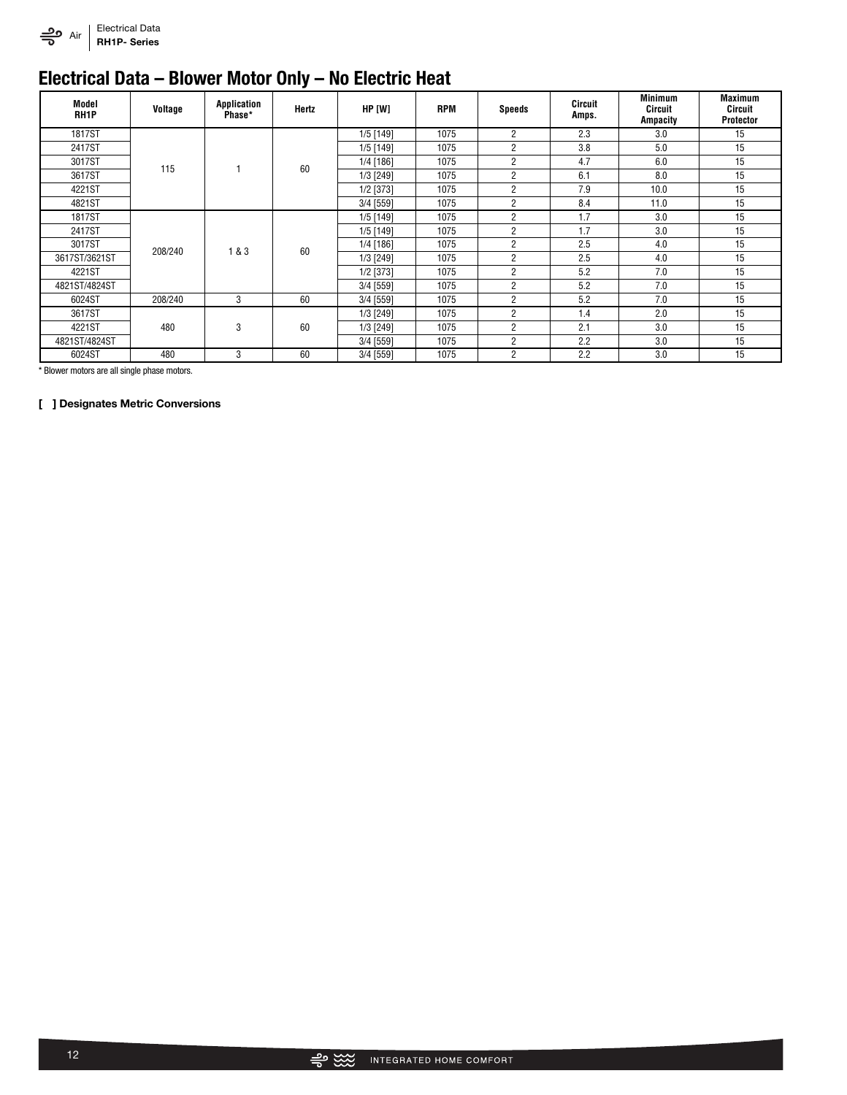

# **Electrical Data – Blower Motor Only – No Electric Heat**

| Model<br>RH <sub>1</sub> P | Voltage | Application<br>Phase* | Hertz | <b>HP [W]</b> | <b>RPM</b> | <b>Speeds</b>  | Circuit<br>Amps. | <b>Minimum</b><br><b>Circuit</b><br>Ampacity | <b>Maximum</b><br><b>Circuit</b><br>Protector |
|----------------------------|---------|-----------------------|-------|---------------|------------|----------------|------------------|----------------------------------------------|-----------------------------------------------|
| 1817ST                     |         |                       |       | 1/5 [149]     | 1075       | $\overline{2}$ | 2.3              | 3.0                                          | 15                                            |
| 2417ST                     |         |                       |       | 1/5 [149]     | 1075       | $\overline{2}$ | 3.8              | 5.0                                          | 15                                            |
| 3017ST                     | 115     |                       | 60    | 1/4 [186]     | 1075       | 2              | 4.7              | 6.0                                          | 15                                            |
| 3617ST                     |         |                       |       | 1/3 [249]     | 1075       | $\overline{2}$ | 6.1              | 8.0                                          | 15                                            |
| 4221ST                     |         |                       |       | 1/2 [373]     | 1075       | $\overline{2}$ | 7.9              | 10.0                                         | 15                                            |
| 4821ST                     |         |                       |       | 3/4 [559]     | 1075       | $\overline{2}$ | 8.4              | 11.0                                         | 15                                            |
| 1817ST                     |         |                       |       | 1/5 [149]     | 1075       | $\overline{2}$ | 1.7              | 3.0                                          | 15                                            |
| 2417ST                     |         |                       | 60    | $1/5$ [149]   | 1075       | $\overline{2}$ | 1.7              | 3.0                                          | 15                                            |
| 3017ST                     | 208/240 | 1 & 3                 |       | 1/4 [186]     | 1075       | $\overline{2}$ | 2.5              | 4.0                                          | 15                                            |
| 3617ST/3621ST              |         |                       |       | 1/3 [249]     | 1075       | $\overline{2}$ | 2.5              | 4.0                                          | 15                                            |
| 4221ST                     |         |                       |       | 1/2 [373]     | 1075       | $\overline{2}$ | 5.2              | 7.0                                          | 15                                            |
| 4821ST/4824ST              |         |                       |       | 3/4 [559]     | 1075       | $\overline{2}$ | 5.2              | 7.0                                          | 15                                            |
| 6024ST                     | 208/240 | 3                     | 60    | 3/4 [559]     | 1075       | $\overline{2}$ | 5.2              | 7.0                                          | 15                                            |
| 3617ST                     |         |                       |       | 1/3 [249]     | 1075       | $\overline{2}$ | 1.4              | 2.0                                          | 15                                            |
| 4221ST                     | 480     | 3                     | 60    | 1/3 [249]     | 1075       | 2              | 2.1              | 3.0                                          | 15                                            |
| 4821ST/4824ST              |         |                       |       | 3/4 [559]     | 1075       | $\overline{2}$ | 2.2              | 3.0                                          | 15                                            |
| 6024ST                     | 480     | 3                     | 60    | 3/4 [559]     | 1075       | $\overline{2}$ | 2.2              | 3.0                                          | 15                                            |

\* Blower motors are all single phase motors.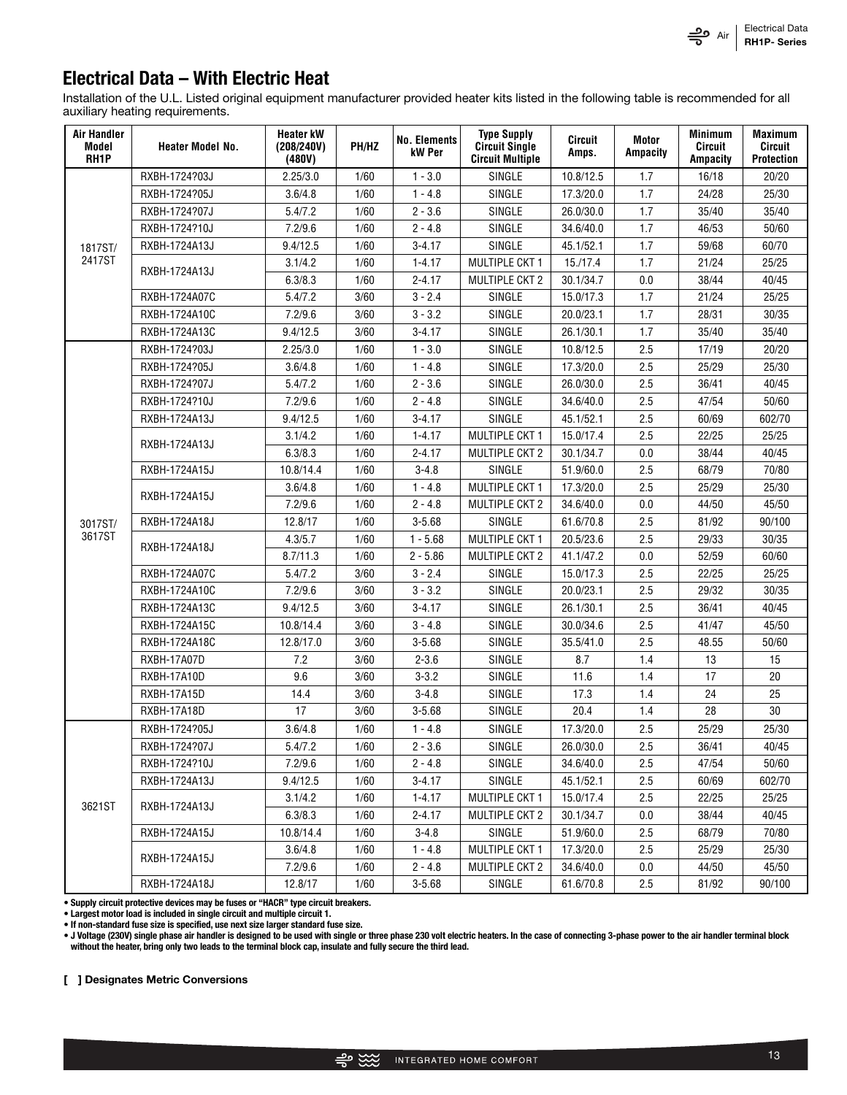## **Electrical Data – With Electric Heat**

Installation of the U.L. Listed original equipment manufacturer provided heater kits listed in the following table is recommended for all auxiliary heating requirements.

| Air Handler<br>Model<br>RH <sub>1</sub> P | <b>Heater Model No.</b> | <b>Heater kW</b><br>(208/240V)<br>(480V) | PH/HZ | <b>No. Elements</b><br>kW Per | <b>Type Supply</b><br><b>Circuit Single</b><br><b>Circuit Multiple</b> | Circuit<br>Amps. | Motor<br><b>Ampacity</b> | <b>Minimum</b><br><b>Circuit</b><br><b>Ampacity</b> | <b>Maximum</b><br><b>Circuit</b><br><b>Protection</b> |
|-------------------------------------------|-------------------------|------------------------------------------|-------|-------------------------------|------------------------------------------------------------------------|------------------|--------------------------|-----------------------------------------------------|-------------------------------------------------------|
|                                           | RXBH-1724?03J           | 2.25/3.0                                 | 1/60  | $1 - 3.0$                     | <b>SINGLE</b>                                                          | 10.8/12.5        | 1.7                      | 16/18                                               | 20/20                                                 |
|                                           | RXBH-1724?05J           | 3.6/4.8                                  | 1/60  | $1 - 4.8$                     | <b>SINGLE</b>                                                          | 17.3/20.0        | 1.7                      | 24/28                                               | 25/30                                                 |
| 1817ST/<br>2417ST                         | RXBH-1724?07J           | 5.4/7.2                                  | 1/60  | $2 - 3.6$                     | SINGLE                                                                 | 26.0/30.0        | 1.7                      | 35/40                                               | 35/40                                                 |
|                                           | RXBH-1724?10J           | 7.2/9.6                                  | 1/60  | $2 - 4.8$                     | SINGLE                                                                 | 34.6/40.0        | 1.7                      | 46/53                                               | 50/60                                                 |
|                                           | RXBH-1724A13J           | 9.4/12.5                                 | 1/60  | $3 - 4.17$                    | SINGLE                                                                 | 45.1/52.1        | 1.7                      | 59/68                                               | 60/70                                                 |
|                                           | RXBH-1724A13J           | 3.1/4.2                                  | 1/60  | $1 - 4.17$                    | MULTIPLE CKT 1                                                         | 15./17.4         | 1.7                      | 21/24                                               | 25/25                                                 |
|                                           |                         | 6.3/8.3                                  | 1/60  | $2 - 4.17$                    | <b>MULTIPLE CKT 2</b>                                                  | 30.1/34.7        | 0.0                      | 38/44                                               | 40/45                                                 |
|                                           | RXBH-1724A07C           | 5.4/7.2                                  | 3/60  | $3 - 2.4$                     | SINGLE                                                                 | 15.0/17.3        | 1.7                      | 21/24                                               | 25/25                                                 |
|                                           | RXBH-1724A10C           | 7.2/9.6                                  | 3/60  | $3 - 3.2$                     | SINGLE                                                                 | 20.0/23.1        | 1.7                      | 28/31                                               | 30/35                                                 |
|                                           | RXBH-1724A13C           | 9.4/12.5                                 | 3/60  | $3 - 4.17$                    | SINGLE                                                                 | 26.1/30.1        | 1.7                      | 35/40                                               | 35/40                                                 |
|                                           | RXBH-1724?03J           | 2.25/3.0                                 | 1/60  | $1 - 3.0$                     | SINGLE                                                                 | 10.8/12.5        | 2.5                      | 17/19                                               | 20/20                                                 |
|                                           | RXBH-1724?05J           | 3.6/4.8                                  | 1/60  | $1 - 4.8$                     | SINGLE                                                                 | 17.3/20.0        | 2.5                      | 25/29                                               | 25/30                                                 |
|                                           | RXBH-1724?07J           | 5.4/7.2                                  | 1/60  | $2 - 3.6$                     | SINGLE                                                                 | 26.0/30.0        | 2.5                      | 36/41                                               | 40/45                                                 |
|                                           | RXBH-1724?10J           | 7.2/9.6                                  | 1/60  | $2 - 4.8$                     | SINGLE                                                                 | 34.6/40.0        | 2.5                      | 47/54                                               | 50/60                                                 |
|                                           | RXBH-1724A13J           | 9.4/12.5                                 | 1/60  | $3 - 4.17$                    | SINGLE                                                                 | 45.1/52.1        | 2.5                      | 60/69                                               | 602/70                                                |
|                                           | RXBH-1724A13J           | 3.1/4.2                                  | 1/60  | $1 - 4.17$                    | MULTIPLE CKT 1                                                         | 15.0/17.4        | 2.5                      | 22/25                                               | 25/25                                                 |
|                                           |                         | 6.3/8.3                                  | 1/60  | $2 - 4.17$                    | <b>MULTIPLE CKT 2</b>                                                  | 30.1/34.7        | 0.0                      | 38/44                                               | 40/45                                                 |
|                                           | RXBH-1724A15J           | 10.8/14.4                                | 1/60  | $3 - 4.8$                     | SINGLE                                                                 | 51.9/60.0        | 2.5                      | 68/79                                               | 70/80                                                 |
|                                           | RXBH-1724A15J           | 3.6/4.8                                  | 1/60  | $1 - 4.8$                     | <b>MULTIPLE CKT 1</b>                                                  | 17.3/20.0        | 2.5                      | 25/29                                               | 25/30                                                 |
|                                           |                         | 7.2/9.6                                  | 1/60  | $2 - 4.8$                     | <b>MULTIPLE CKT 2</b>                                                  | 34.6/40.0        | 0.0                      | 44/50                                               | 45/50                                                 |
| 3017ST/                                   | RXBH-1724A18J           | 12.8/17                                  | 1/60  | $3 - 5.68$                    | SINGLE                                                                 | 61.6/70.8        | 2.5                      | 81/92                                               | 90/100                                                |
| 3617ST                                    | RXBH-1724A18J           | 4.3/5.7                                  | 1/60  | $1 - 5.68$                    | <b>MULTIPLE CKT 1</b>                                                  | 20.5/23.6        | 2.5                      | 29/33                                               | 30/35                                                 |
|                                           |                         | 8.7/11.3                                 | 1/60  | $2 - 5.86$                    | <b>MULTIPLE CKT 2</b>                                                  | 41.1/47.2        | 0.0                      | 52/59                                               | 60/60                                                 |
|                                           | RXBH-1724A07C           | 5.4/7.2                                  | 3/60  | $3 - 2.4$                     | SINGLE                                                                 | 15.0/17.3        | 2.5                      | 22/25                                               | 25/25                                                 |
|                                           | RXBH-1724A10C           | 7.2/9.6                                  | 3/60  | $3 - 3.2$                     | SINGLE                                                                 | 20.0/23.1        | 2.5                      | 29/32                                               | 30/35                                                 |
|                                           | RXBH-1724A13C           | 9.4/12.5                                 | 3/60  | $3 - 4.17$                    | SINGLE                                                                 | 26.1/30.1        | 2.5                      | 36/41                                               | 40/45                                                 |
|                                           | RXBH-1724A15C           | 10.8/14.4                                | 3/60  | $3 - 4.8$                     | <b>SINGLE</b>                                                          | 30.0/34.6        | 2.5                      | 41/47                                               | 45/50                                                 |
|                                           | RXBH-1724A18C           | 12.8/17.0                                | 3/60  | $3 - 5.68$                    | SINGLE                                                                 | 35.5/41.0        | 2.5                      | 48.55                                               | 50/60                                                 |
|                                           | <b>RXBH-17A07D</b>      | 7.2                                      | 3/60  | $2 - 3.6$                     | SINGLE                                                                 | 8.7              | 1.4                      | 13                                                  | 15                                                    |
|                                           | RXBH-17A10D             | 9.6                                      | 3/60  | $3 - 3.2$                     | SINGLE                                                                 | 11.6             | 1.4                      | 17                                                  | 20                                                    |
|                                           | RXBH-17A15D             | 14.4                                     | 3/60  | $3 - 4.8$                     | SINGLE                                                                 | 17.3             | 1.4                      | 24                                                  | 25                                                    |
|                                           | RXBH-17A18D             | 17                                       | 3/60  | $3 - 5.68$                    | SINGLE                                                                 | 20.4             | 1.4                      | 28                                                  | 30                                                    |
|                                           | RXBH-1724?05J           | 3.6/4.8                                  | 1/60  | $1 - 4.8$                     | SINGLE                                                                 | 17.3/20.0        | 2.5                      | 25/29                                               | 25/30                                                 |
|                                           | RXBH-1724?07J           | 5.4/7.2                                  | 1/60  | 2 - 3.6                       | SINGLE                                                                 | 26.0/30.0        | 2.5                      | 36/41                                               | 40/45                                                 |
|                                           | RXBH-1724?10J           | 7.2/9.6                                  | 1/60  | $2 - 4.8$                     | SINGLE                                                                 | 34.6/40.0        | 2.5                      | 47/54                                               | 50/60                                                 |
|                                           | RXBH-1724A13J           | 9.4/12.5                                 | 1/60  | $3 - 4.17$                    | SINGLE                                                                 | 45.1/52.1        | 2.5                      | 60/69                                               | 602/70                                                |
| 3621ST                                    | RXBH-1724A13J           | 3.1/4.2                                  | 1/60  | $1 - 4.17$                    | MULTIPLE CKT 1                                                         | 15.0/17.4        | 2.5                      | 22/25                                               | 25/25                                                 |
|                                           |                         | 6.3/8.3                                  | 1/60  | $2 - 4.17$                    | <b>MULTIPLE CKT 2</b>                                                  | 30.1/34.7        | 0.0                      | 38/44                                               | 40/45                                                 |
|                                           | RXBH-1724A15J           | 10.8/14.4                                | 1/60  | $3 - 4.8$                     | SINGLE                                                                 | 51.9/60.0        | 2.5                      | 68/79                                               | 70/80                                                 |
|                                           | RXBH-1724A15J           | 3.6/4.8                                  | 1/60  | $1 - 4.8$                     | MULTIPLE CKT 1                                                         | 17.3/20.0        | 2.5                      | 25/29                                               | 25/30                                                 |
|                                           |                         | 7.2/9.6                                  | 1/60  | $2 - 4.8$                     | <b>MULTIPLE CKT 2</b>                                                  | 34.6/40.0        | 0.0                      | 44/50                                               | 45/50                                                 |
|                                           | RXBH-1724A18J           | 12.8/17                                  | 1/60  | $3 - 5.68$                    | SINGLE                                                                 | 61.6/70.8        | 2.5                      | 81/92                                               | 90/100                                                |

**• Supply circuit protective devices may be fuses or "HACR" type circuit breakers.** 

• Largest motor load is included in single circuit and multiple circuit 1.<br>• If non-standard fuse size is specified, use next size larger standard fuse size.<br>• J Voltage (230V) single phase air handler is designed to be us **without the heater, bring only two leads to the terminal block cap, insulate and fully secure the third lead.**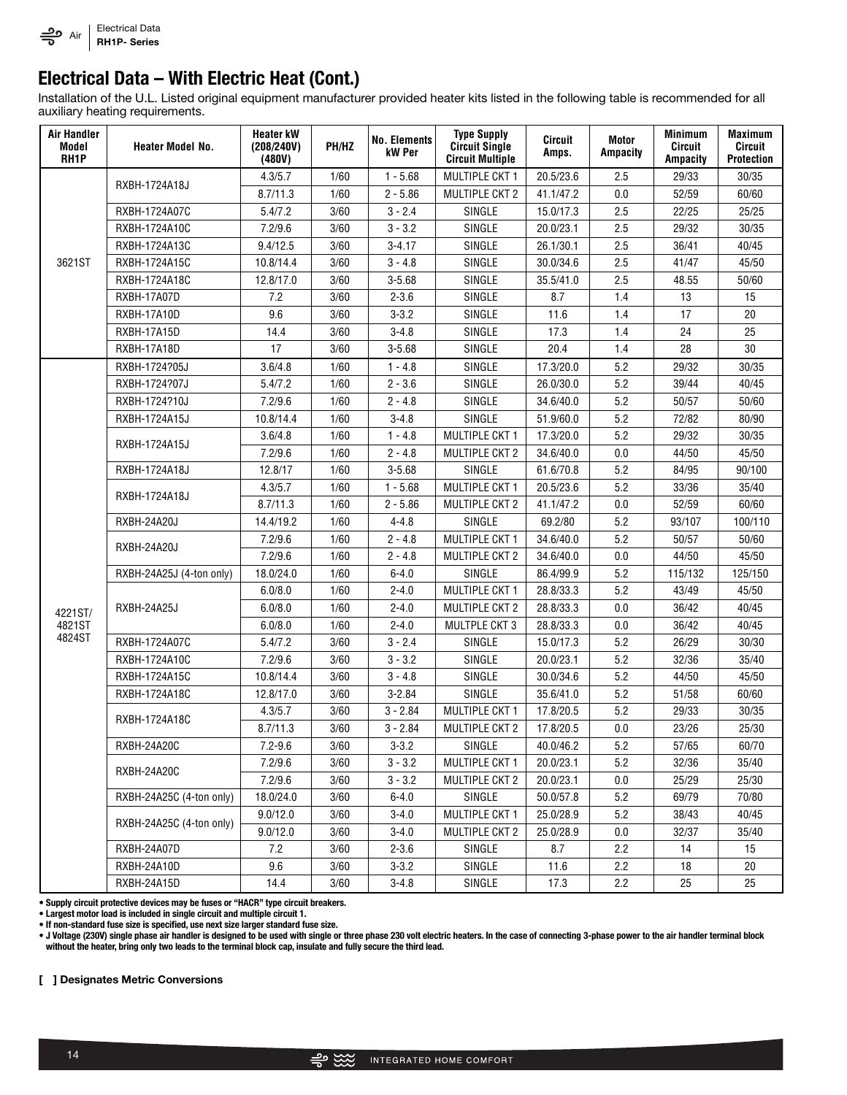

## **Electrical Data – With Electric Heat (Cont.)**

Installation of the U.L. Listed original equipment manufacturer provided heater kits listed in the following table is recommended for all auxiliary heating requirements.

| <b>Air Handler</b><br>Model<br>RH1P | <b>Heater Model No.</b>  | <b>Heater kW</b><br>(208/240V)<br>(480V) | PH/HZ | <b>No. Elements</b><br>kW Per | <b>Type Supply</b><br><b>Circuit Single</b><br><b>Circuit Multiple</b> | <b>Circuit</b><br>Amps. | <b>Motor</b><br><b>Ampacity</b> | <b>Minimum</b><br>Circuit<br><b>Ampacity</b> | Maximum<br><b>Circuit</b><br><b>Protection</b> |
|-------------------------------------|--------------------------|------------------------------------------|-------|-------------------------------|------------------------------------------------------------------------|-------------------------|---------------------------------|----------------------------------------------|------------------------------------------------|
|                                     | RXBH-1724A18J            | 4.3/5.7                                  | 1/60  | $1 - 5.68$                    | <b>MULTIPLE CKT 1</b>                                                  | 20.5/23.6               | 2.5                             | 29/33                                        | 30/35                                          |
|                                     |                          | 8.7/11.3                                 | 1/60  | $2 - 5.86$                    | <b>MULTIPLE CKT 2</b>                                                  | 41.1/47.2               | 0.0                             | 52/59                                        | 60/60                                          |
|                                     | RXBH-1724A07C            | 5.4/7.2                                  | 3/60  | $3 - 2.4$                     | SINGLE                                                                 | 15.0/17.3               | 2.5                             | 22/25                                        | 25/25                                          |
|                                     | RXBH-1724A10C            | 7.2/9.6                                  | 3/60  | $3 - 3.2$                     | <b>SINGLE</b>                                                          | 20.0/23.1               | 2.5                             | 29/32                                        | 30/35                                          |
|                                     | RXBH-1724A13C            | 9.4/12.5                                 | 3/60  | $3 - 4.17$                    | SINGLE                                                                 | 26.1/30.1               | 2.5                             | 36/41                                        | 40/45                                          |
| 3621ST                              | RXBH-1724A15C            | 10.8/14.4                                | 3/60  | $3 - 4.8$                     | SINGLE                                                                 | 30.0/34.6               | 2.5                             | 41/47                                        | 45/50                                          |
|                                     | RXBH-1724A18C            | 12.8/17.0                                | 3/60  | $3 - 5.68$                    | SINGLE                                                                 | 35.5/41.0               | 2.5                             | 48.55                                        | 50/60                                          |
|                                     | <b>RXBH-17A07D</b>       | 7.2                                      | 3/60  | $2 - 3.6$                     | SINGLE                                                                 | 8.7                     | 1.4                             | 13                                           | 15                                             |
|                                     | RXBH-17A10D              | 9.6                                      | 3/60  | $3 - 3.2$                     | SINGLE                                                                 | 11.6                    | 1.4                             | 17                                           | 20                                             |
|                                     | RXBH-17A15D              | 14.4                                     | 3/60  | $3 - 4.8$                     | SINGLE                                                                 | 17.3                    | 1.4                             | 24                                           | 25                                             |
|                                     | RXBH-17A18D              | 17                                       | 3/60  | $3 - 5.68$                    | SINGLE                                                                 | 20.4                    | 1.4                             | 28                                           | 30                                             |
|                                     | RXBH-1724?05J            | 3.6/4.8                                  | 1/60  | $1 - 4.8$                     | SINGLE                                                                 | 17.3/20.0               | 5.2                             | 29/32                                        | 30/35                                          |
|                                     | RXBH-1724?07J            | 5.4/7.2                                  | 1/60  | $2 - 3.6$                     | SINGLE                                                                 | 26.0/30.0               | 5.2                             | 39/44                                        | 40/45                                          |
|                                     | RXBH-1724?10J            | 7.2/9.6                                  | 1/60  | $2 - 4.8$                     | <b>SINGLE</b>                                                          | 34.6/40.0               | 5.2                             | 50/57                                        | 50/60                                          |
|                                     | RXBH-1724A15J            | 10.8/14.4                                | 1/60  | $3 - 4.8$                     | SINGLE                                                                 | 51.9/60.0               | 5.2                             | 72/82                                        | 80/90                                          |
|                                     |                          | 3.6/4.8                                  | 1/60  | $1 - 4.8$                     | MULTIPLE CKT 1                                                         | 17.3/20.0               | 5.2                             | 29/32                                        | 30/35                                          |
|                                     | RXBH-1724A15J            | 7.2/9.6                                  | 1/60  | $2 - 4.8$                     | MULTIPLE CKT 2                                                         | 34.6/40.0               | 0.0                             | 44/50                                        | 45/50                                          |
|                                     | RXBH-1724A18J            | 12.8/17                                  | 1/60  | $3 - 5.68$                    | SINGLE                                                                 | 61.6/70.8               | 5.2                             | 84/95                                        | 90/100                                         |
|                                     | RXBH-1724A18J            | 4.3/5.7                                  | 1/60  | $1 - 5.68$                    | MULTIPLE CKT 1                                                         | 20.5/23.6               | 5.2                             | 33/36                                        | 35/40                                          |
|                                     |                          | 8.7/11.3                                 | 1/60  | $2 - 5.86$                    | MULTIPLE CKT 2                                                         | 41.1/47.2               | 0.0                             | 52/59                                        | 60/60                                          |
|                                     | <b>RXBH-24A20J</b>       | 14.4/19.2                                | 1/60  | $4 - 4.8$                     | SINGLE                                                                 | 69.2/80                 | 5.2                             | 93/107                                       | 100/110                                        |
|                                     | RXBH-24A20J              | 7.2/9.6                                  | 1/60  | $2 - 4.8$                     | MULTIPLE CKT 1                                                         | 34.6/40.0               | 5.2                             | 50/57                                        | 50/60                                          |
|                                     |                          | 7.2/9.6                                  | 1/60  | $2 - 4.8$                     | MULTIPLE CKT 2                                                         | 34.6/40.0               | 0.0                             | 44/50                                        | 45/50                                          |
|                                     | RXBH-24A25J (4-ton only) | 18.0/24.0                                | 1/60  | $6 - 4.0$                     | SINGLE                                                                 | 86.4/99.9               | 5.2                             | 115/132                                      | 125/150                                        |
|                                     | <b>RXBH-24A25J</b>       | 6.0/8.0                                  | 1/60  | $2 - 4.0$                     | <b>MULTIPLE CKT 1</b>                                                  | 28.8/33.3               | 5.2                             | 43/49                                        | 45/50                                          |
| 4221ST/                             |                          | 6.0/8.0                                  | 1/60  | $2 - 4.0$                     | <b>MULTIPLE CKT 2</b>                                                  | 28.8/33.3               | 0.0                             | 36/42                                        | 40/45                                          |
| 4821ST                              |                          | 6.0/8.0                                  | 1/60  | $2 - 4.0$                     | <b>MULTPLE CKT 3</b>                                                   | 28.8/33.3               | 0.0                             | 36/42                                        | 40/45                                          |
| 4824ST                              | RXBH-1724A07C            | 5.4/7.2                                  | 3/60  | $3 - 2.4$                     | SINGLE                                                                 | 15.0/17.3               | 5.2                             | 26/29                                        | 30/30                                          |
|                                     | RXBH-1724A10C            | 7.2/9.6                                  | 3/60  | $3 - 3.2$                     | SINGLE                                                                 | 20.0/23.1               | 5.2                             | 32/36                                        | 35/40                                          |
|                                     | RXBH-1724A15C            | 10.8/14.4                                | 3/60  | $3 - 4.8$                     | SINGLE                                                                 | 30.0/34.6               | 5.2                             | 44/50                                        | 45/50                                          |
|                                     | RXBH-1724A18C            | 12.8/17.0                                | 3/60  | $3 - 2.84$                    | SINGLE                                                                 | 35.6/41.0               | 5.2                             | 51/58                                        | 60/60                                          |
|                                     | RXBH-1724A18C            | 4.3/5.7                                  | 3/60  | $3 - 2.84$                    | MULTIPLE CKT 1                                                         | 17.8/20.5               | 5.2                             | 29/33                                        | 30/35                                          |
|                                     |                          | 8.7/11.3                                 | 3/60  | $3 - 2.84$                    | MULTIPLE CKT 2                                                         | 17.8/20.5               | 0.0                             | 23/26                                        | 25/30                                          |
|                                     | RXBH-24A20C              | $7.2 - 9.6$                              | 3/60  | $3 - 3.2$                     | SINGLE                                                                 | 40.0/46.2               | $5.2\,$                         | 57/65                                        | 60/70                                          |
|                                     |                          | 7.2/9.6                                  | 3/60  | $3 - 3.2$                     | MULTIPLE CKT 1                                                         | 20.0/23.1               | 5.2                             | 32/36                                        | 35/40                                          |
|                                     | RXBH-24A20C              | 7.2/9.6                                  | 3/60  | $3 - 3.2$                     | MULTIPLE CKT 2                                                         | 20.0/23.1               | 0.0                             | 25/29                                        | 25/30                                          |
|                                     | RXBH-24A25C (4-ton only) | 18.0/24.0                                | 3/60  | $6 - 4.0$                     | SINGLE                                                                 | 50.0/57.8               | 5.2                             | 69/79                                        | 70/80                                          |
|                                     | RXBH-24A25C (4-ton only) | 9.0/12.0                                 | 3/60  | $3 - 4.0$                     | MULTIPLE CKT 1                                                         | 25.0/28.9               | 5.2                             | 38/43                                        | 40/45                                          |
|                                     |                          | 9.0/12.0                                 | 3/60  | $3 - 4.0$                     | MULTIPLE CKT 2                                                         | 25.0/28.9               | 0.0                             | 32/37                                        | 35/40                                          |
|                                     | <b>RXBH-24A07D</b>       | 7.2                                      | 3/60  | $2 - 3.6$                     | SINGLE                                                                 | 8.7                     | 2.2                             | 14                                           | 15                                             |
|                                     | RXBH-24A10D              | 9.6                                      | 3/60  | $3 - 3.2$                     | SINGLE                                                                 | 11.6                    | 2.2                             | 18                                           | 20                                             |
|                                     | RXBH-24A15D              | 14.4                                     | 3/60  | $3 - 4.8$                     | SINGLE                                                                 | 17.3                    | 2.2                             | 25                                           | 25                                             |

**• Supply circuit protective devices may be fuses or "HACR" type circuit breakers.** 

**• Largest motor load is included in single circuit and multiple circuit 1. • If non-standard fuse size is specified, use next size larger standard fuse size.**

**• J Voltage (230V) single phase air handler is designed to be used with single or three phase 230 volt electric heaters. In the case of connecting 3-phase power to the air handler terminal block without the heater, bring only two leads to the terminal block cap, insulate and fully secure the third lead.**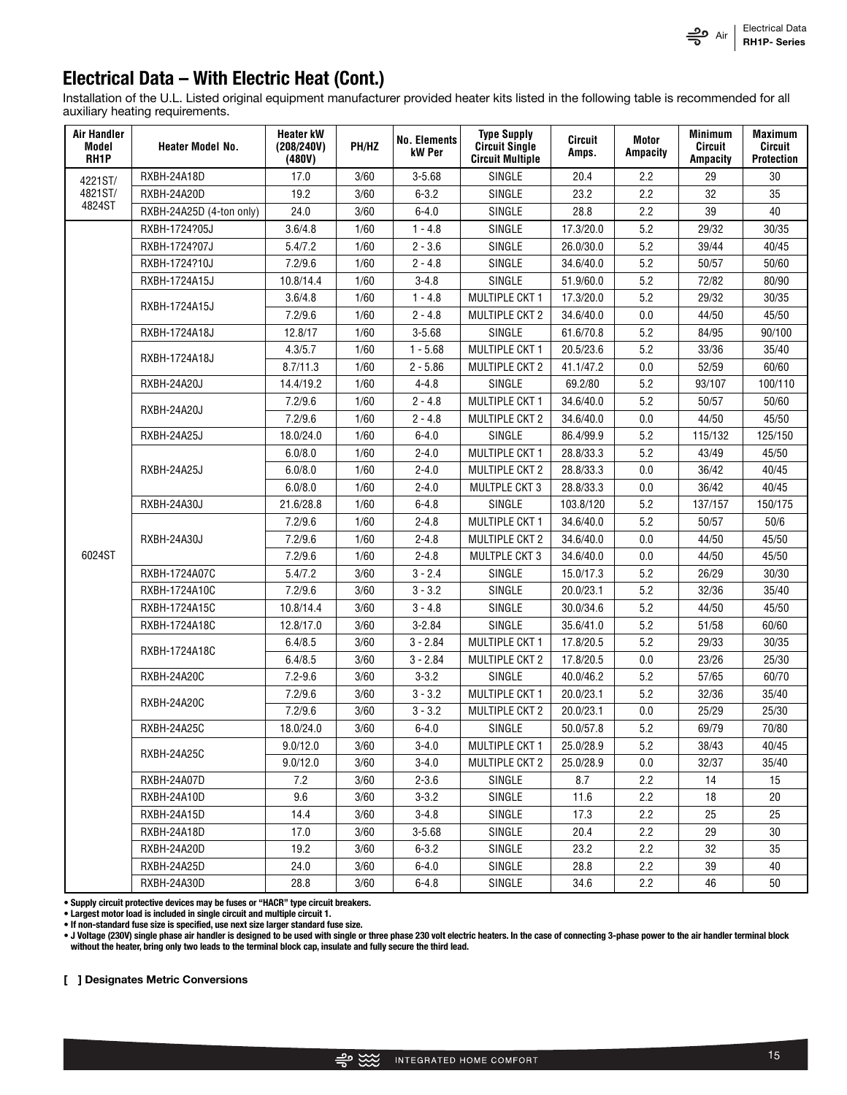## **Electrical Data – With Electric Heat (Cont.)**

Installation of the U.L. Listed original equipment manufacturer provided heater kits listed in the following table is recommended for all auxiliary heating requirements.

| Air Handler<br>Model<br>RH <sub>1</sub> P | <b>Heater Model No.</b>  | <b>Heater kW</b><br>(208/240V)<br>(480V) | PH/HZ | <b>No. Elements</b><br>kW Per | <b>Type Supply</b><br><b>Circuit Single</b><br><b>Circuit Multiple</b> | <b>Circuit</b><br>Amps. | Motor<br><b>Ampacity</b> | <b>Minimum</b><br>Circuit<br><b>Ampacity</b> | <b>Maximum</b><br><b>Circuit</b><br><b>Protection</b> |
|-------------------------------------------|--------------------------|------------------------------------------|-------|-------------------------------|------------------------------------------------------------------------|-------------------------|--------------------------|----------------------------------------------|-------------------------------------------------------|
| 4221ST/                                   | RXBH-24A18D              | 17.0                                     | 3/60  | $3 - 5.68$                    | <b>SINGLE</b>                                                          | 20.4                    | 2.2                      | 29                                           | 30                                                    |
| 4821ST/                                   | <b>RXBH-24A20D</b>       | 19.2                                     | 3/60  | $6 - 3.2$                     | SINGLE                                                                 | 23.2                    | 2.2                      | 32                                           | 35                                                    |
| 4824ST                                    | RXBH-24A25D (4-ton only) | 24.0                                     | 3/60  | $6 - 4.0$                     | SINGLE                                                                 | 28.8                    | 2.2                      | 39                                           | 40                                                    |
|                                           | RXBH-1724?05J            | 3.6/4.8                                  | 1/60  | $1 - 4.8$                     | SINGLE                                                                 | 17.3/20.0               | 5.2                      | 29/32                                        | 30/35                                                 |
|                                           | RXBH-1724?07J            | 5.4/7.2                                  | 1/60  | $2 - 3.6$                     | SINGLE                                                                 | 26.0/30.0               | 5.2                      | 39/44                                        | 40/45                                                 |
|                                           | RXBH-1724?10J            | 7.2/9.6                                  | 1/60  | $2 - 4.8$                     | SINGLE                                                                 | 34.6/40.0               | 5.2                      | 50/57                                        | 50/60                                                 |
|                                           | RXBH-1724A15J            | 10.8/14.4                                | 1/60  | $3 - 4.8$                     | SINGLE                                                                 | 51.9/60.0               | 5.2                      | 72/82                                        | 80/90                                                 |
|                                           | RXBH-1724A15J            | 3.6/4.8                                  | 1/60  | $1 - 4.8$                     | MULTIPLE CKT 1                                                         | 17.3/20.0               | 5.2                      | 29/32                                        | 30/35                                                 |
|                                           |                          | 7.2/9.6                                  | 1/60  | $2 - 4.8$                     | MULTIPLE CKT 2                                                         | 34.6/40.0               | 0.0                      | 44/50                                        | 45/50                                                 |
|                                           | RXBH-1724A18J            | 12.8/17                                  | 1/60  | $3 - 5.68$                    | SINGLE                                                                 | 61.6/70.8               | 5.2                      | 84/95                                        | 90/100                                                |
|                                           | RXBH-1724A18J            | 4.3/5.7                                  | 1/60  | $1 - 5.68$                    | MULTIPLE CKT 1                                                         | 20.5/23.6               | 5.2                      | 33/36                                        | 35/40                                                 |
|                                           |                          | 8.7/11.3                                 | 1/60  | $2 - 5.86$                    | <b>MULTIPLE CKT 2</b>                                                  | 41.1/47.2               | 0.0                      | 52/59                                        | 60/60                                                 |
|                                           | <b>RXBH-24A20J</b>       | 14.4/19.2                                | 1/60  | $4 - 4.8$                     | SINGLE                                                                 | 69.2/80                 | 5.2                      | 93/107                                       | 100/110                                               |
|                                           | RXBH-24A20J              | 7.2/9.6                                  | 1/60  | $2 - 4.8$                     | MULTIPLE CKT 1                                                         | 34.6/40.0               | 5.2                      | 50/57                                        | 50/60                                                 |
|                                           |                          | 7.2/9.6                                  | 1/60  | $2 - 4.8$                     | <b>MULTIPLE CKT 2</b>                                                  | 34.6/40.0               | 0.0                      | 44/50                                        | 45/50                                                 |
|                                           | <b>RXBH-24A25J</b>       | 18.0/24.0                                | 1/60  | $6 - 4.0$                     | SINGLE                                                                 | 86.4/99.9               | 5.2                      | 115/132                                      | 125/150                                               |
|                                           | RXBH-24A25J              | 6.0/8.0                                  | 1/60  | $2 - 4.0$                     | MULTIPLE CKT 1                                                         | 28.8/33.3               | 5.2                      | 43/49                                        | 45/50                                                 |
|                                           |                          | 6.0/8.0                                  | 1/60  | $2 - 4.0$                     | <b>MULTIPLE CKT 2</b>                                                  | 28.8/33.3               | 0.0                      | 36/42                                        | 40/45                                                 |
|                                           |                          | 6.0/8.0                                  | 1/60  | $2 - 4.0$                     | <b>MULTPLE CKT 3</b>                                                   | 28.8/33.3               | 0.0                      | 36/42                                        | 40/45                                                 |
|                                           | <b>RXBH-24A30J</b>       | 21.6/28.8                                | 1/60  | $6 - 4.8$                     | SINGLE                                                                 | 103.8/120               | 5.2                      | 137/157                                      | 150/175                                               |
|                                           | RXBH-24A30J              | 7.2/9.6                                  | 1/60  | $2 - 4.8$                     | MULTIPLE CKT 1                                                         | 34.6/40.0               | 5.2                      | 50/57                                        | 50/6                                                  |
|                                           |                          | 7.2/9.6                                  | 1/60  | $2 - 4.8$                     | <b>MULTIPLE CKT 2</b>                                                  | 34.6/40.0               | 0.0                      | 44/50                                        | 45/50                                                 |
| 6024ST                                    |                          | 7.2/9.6                                  | 1/60  | $2 - 4.8$                     | <b>MULTPLE CKT 3</b>                                                   | 34.6/40.0               | 0.0                      | 44/50                                        | 45/50                                                 |
|                                           | RXBH-1724A07C            | 5.4/7.2                                  | 3/60  | $3 - 2.4$                     | SINGLE                                                                 | 15.0/17.3               | 5.2                      | 26/29                                        | 30/30                                                 |
|                                           | RXBH-1724A10C            | 7.2/9.6                                  | 3/60  | $3 - 3.2$                     | SINGLE                                                                 | 20.0/23.1               | 5.2                      | 32/36                                        | 35/40                                                 |
|                                           | RXBH-1724A15C            | 10.8/14.4                                | 3/60  | $3 - 4.8$                     | SINGLE                                                                 | 30.0/34.6               | 5.2                      | 44/50                                        | 45/50                                                 |
|                                           | RXBH-1724A18C            | 12.8/17.0                                | 3/60  | $3 - 2.84$                    | SINGLE                                                                 | 35.6/41.0               | 5.2                      | 51/58                                        | 60/60                                                 |
|                                           | RXBH-1724A18C            | 6.4/8.5                                  | 3/60  | $3 - 2.84$                    | MULTIPLE CKT 1                                                         | 17.8/20.5               | 5.2                      | 29/33                                        | 30/35                                                 |
|                                           |                          | 6.4/8.5                                  | 3/60  | $3 - 2.84$                    | <b>MULTIPLE CKT 2</b>                                                  | 17.8/20.5               | 0.0                      | 23/26                                        | 25/30                                                 |
|                                           | <b>RXBH-24A20C</b>       | $7.2 - 9.6$                              | 3/60  | $3 - 3.2$                     | SINGLE                                                                 | 40.0/46.2               | 5.2                      | 57/65                                        | 60/70                                                 |
|                                           | RXBH-24A20C              | 7.2/9.6                                  | 3/60  | $3 - 3.2$                     | MULTIPLE CKT 1                                                         | 20.0/23.1               | 5.2                      | 32/36                                        | 35/40                                                 |
|                                           |                          | 7.2/9.6                                  | 3/60  | $3 - 3.2$                     | <b>MULTIPLE CKT 2</b>                                                  | 20.0/23.1               | 0.0                      | 25/29                                        | 25/30                                                 |
|                                           | <b>RXBH-24A25C</b>       | 18.0/24.0                                | 3/60  | $6 - 4.0$                     | SINGLE                                                                 | 50.0/57.8               | 5.2                      | 69/79                                        | 70/80                                                 |
|                                           | RXBH-24A25C              | 9.0/12.0                                 | 3/60  | $3 - 4.0$                     | MULTIPLE CKT 1                                                         | 25.0/28.9               | 5.2                      | 38/43                                        | 40/45                                                 |
|                                           |                          | 9.0/12.0                                 | 3/60  | $3 - 4.0$                     | MULTIPLE CKT 2                                                         | 25.0/28.9               | 0.0                      | 32/37                                        | 35/40                                                 |
|                                           | RXBH-24A07D              | 7.2                                      | 3/60  | $2 - 3.6$                     | <b>SINGLE</b>                                                          | 8.7                     | 2.2                      | 14                                           | 15                                                    |
|                                           | RXBH-24A10D              | 9.6                                      | 3/60  | $3 - 3.2$                     | SINGLE                                                                 | 11.6                    | 2.2                      | 18                                           | 20                                                    |
|                                           | <b>RXBH-24A15D</b>       | 14.4                                     | 3/60  | $3 - 4.8$                     | SINGLE                                                                 | 17.3                    | 2.2                      | 25                                           | 25                                                    |
|                                           | RXBH-24A18D              | 17.0                                     | 3/60  | $3 - 5.68$                    | SINGLE                                                                 | 20.4                    | 2.2                      | 29                                           | 30                                                    |
|                                           | RXBH-24A20D              | 19.2                                     | 3/60  | $6 - 3.2$                     | SINGLE                                                                 | 23.2                    | 2.2                      | 32                                           | 35                                                    |
|                                           | <b>RXBH-24A25D</b>       | 24.0                                     | 3/60  | $6 - 4.0$                     | SINGLE                                                                 | 28.8                    | 2.2                      | 39                                           | 40                                                    |
|                                           | <b>RXBH-24A30D</b>       | 28.8                                     | 3/60  | $6 - 4.8$                     | SINGLE                                                                 | 34.6                    | 2.2                      | 46                                           | 50                                                    |

**• Supply circuit protective devices may be fuses or "HACR" type circuit breakers.** 

• Largest motor load is included in single circuit and multiple circuit 1.<br>• If non-standard fuse size is specified, use next size larger standard fuse size.<br>• J Voltage (230V) single phase air handler is designed to be us **without the heater, bring only two leads to the terminal block cap, insulate and fully secure the third lead.**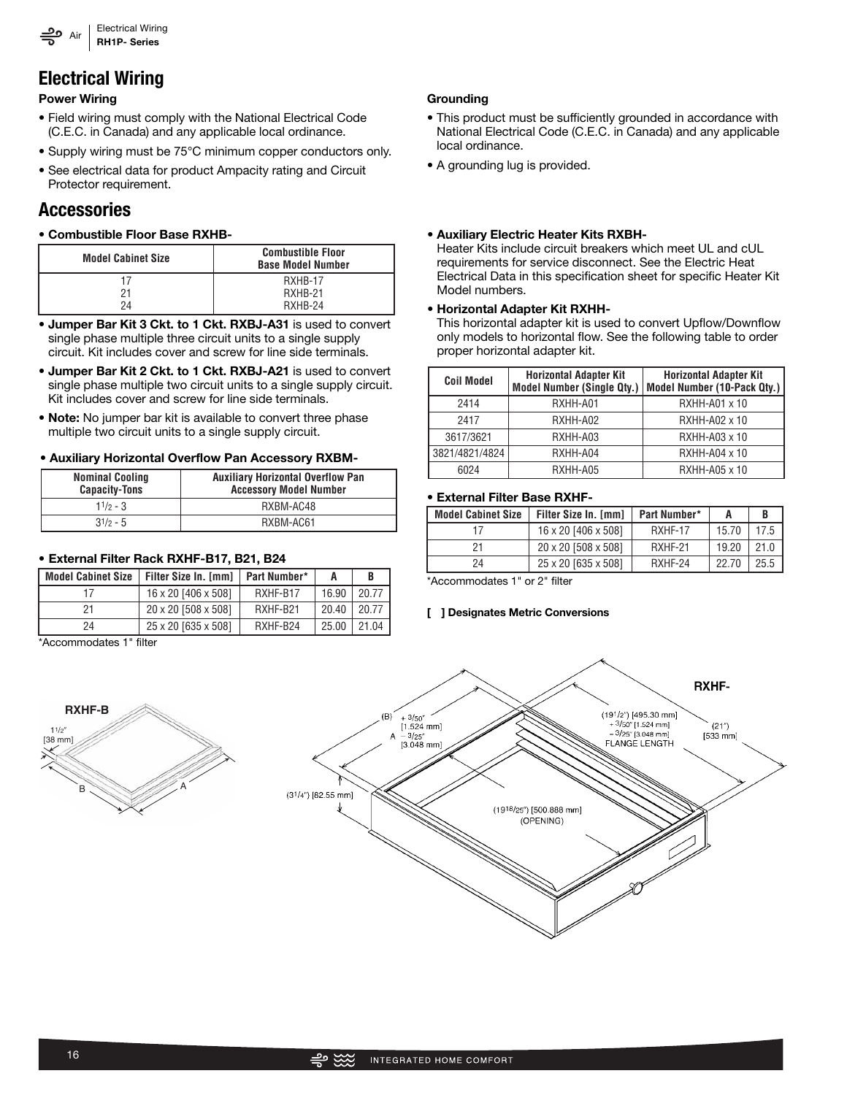

# **Electrical Wiring**

### **Power Wiring**

- Field wiring must comply with the National Electrical Code (C.E.C. in Canada) and any applicable local ordinance.
- Supply wiring must be 75°C minimum copper conductors only.
- See electrical data for product Ampacity rating and Circuit Protector requirement.

## **Accessories**

### • **Combustible Floor Base RXHB-**

| <b>Model Cabinet Size</b> | <b>Combustible Floor</b><br><b>Base Model Number</b> |  |  |
|---------------------------|------------------------------------------------------|--|--|
|                           | RXHB-17                                              |  |  |
| 21                        | <b>RXHB-21</b>                                       |  |  |
| 24                        | RXHR-24                                              |  |  |

- **Jumper Bar Kit 3 Ckt. to 1 Ckt. RXBJ-A31** is used to convert single phase multiple three circuit units to a single supply circuit. Kit includes cover and screw for line side terminals.
- **Jumper Bar Kit 2 Ckt. to 1 Ckt. RXBJ-A21** is used to convert single phase multiple two circuit units to a single supply circuit. Kit includes cover and screw for line side terminals.
- **Note:** No jumper bar kit is available to convert three phase multiple two circuit units to a single supply circuit.

### • **Auxiliary Horizontal Overflow Pan Accessory RXBM-**

| <b>Nominal Cooling</b><br><b>Capacity-Tons</b> | <b>Auxiliary Horizontal Overflow Pan</b><br><b>Accessory Model Number</b> |
|------------------------------------------------|---------------------------------------------------------------------------|
| $11/2 - 3$                                     | RXBM-AC48                                                                 |
| $31/2 - 5$                                     | RXBM-AC61                                                                 |

### • **External Filter Rack RXHF-B17, B21, B24**

| <b>Model Cabinet Size</b> | Filter Size In. [mm] | Part Number*         |       |       |
|---------------------------|----------------------|----------------------|-------|-------|
|                           | 16 x 20 [406 x 508]  | RXHF-R17             | 16.90 | 20.77 |
| 21                        | 20 x 20 [508 x 508]  | RXHF-R <sub>21</sub> | 20.40 | 20.77 |
| 24                        | 25 x 20 [635 x 508]  | RXHF-B24             | 25.00 | 21.04 |

\*Accommodates 1" filter

### **Grounding**

- This product must be sufficiently grounded in accordance with National Electrical Code (C.E.C. in Canada) and any applicable local ordinance.
- A grounding lug is provided.

### • **Auxiliary Electric Heater Kits RXBH-**

Heater Kits include circuit breakers which meet UL and cUL requirements for service disconnect. See the Electric Heat Electrical Data in this specification sheet for specific Heater Kit Model numbers.

### • **Horizontal Adapter Kit RXHH-**

This horizontal adapter kit is used to convert Upflow/Downflow only models to horizontal flow. See the following table to order proper horizontal adapter kit.

| <b>Coil Model</b> | <b>Horizontal Adapter Kit</b> | <b>Horizontal Adapter Kit</b><br>Model Number (Single Qty.)   Model Number (10-Pack Qty.) |  |  |
|-------------------|-------------------------------|-------------------------------------------------------------------------------------------|--|--|
| 2414              | RXHH-A01                      | RXHH-A01 x 10                                                                             |  |  |
| 2417              | RXHH-A02                      | RXHH-A02 x 10                                                                             |  |  |
| 3617/3621         | RXHH-A03                      | RXHH-A03 x 10                                                                             |  |  |
| 3821/4821/4824    | RXHH-A04                      | RXHH-A04 x 10                                                                             |  |  |
| 6024              | RXHH-A05                      | RXHH-A05 x 10                                                                             |  |  |

### • **External Filter Base RXHF-**

| <b>Model Cabinet Size</b> | Filter Size In. [mm]              | Part Number* |       |      |
|---------------------------|-----------------------------------|--------------|-------|------|
|                           | $16 \times 20$ [406 $\times$ 508] | RXHF-17      | 15.70 | 17.5 |
| 21                        | 20 x 20 [508 x 508]               | RXHF-21      | 19.20 | 21.0 |
| 24                        | 25 x 20 [635 x 508]               | RXHF-24      | 22.70 | 25.5 |

\*Accommodates 1" or 2" filter



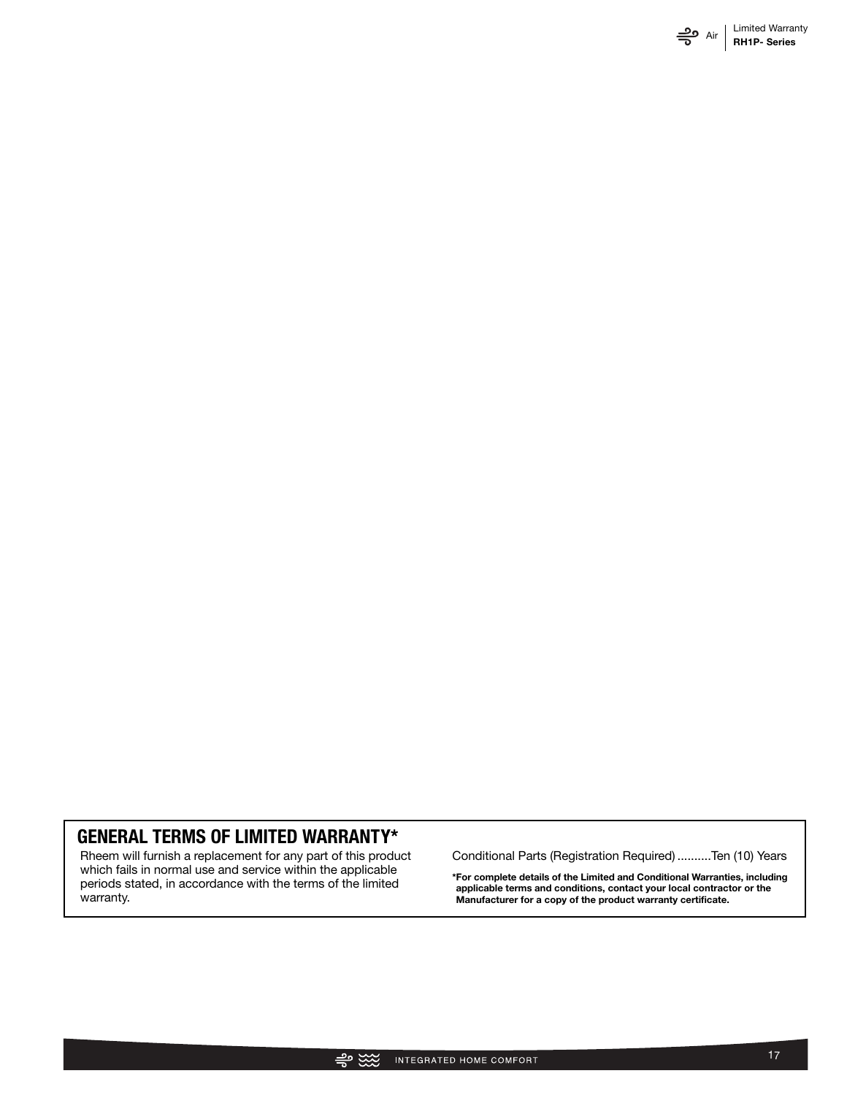

## **GENERAL TERMS OF LIMITED WARRANTY\***

Rheem will furnish a replacement for any part of this product which fails in normal use and service within the applicable periods stated, in accordance with the terms of the limited warranty.

Conditional Parts (Registration Required) ..........Ten (10) Years

\*For complete details of the Limited and Conditional Warranties, including<br>applicable terms and conditions, contact your local contractor or the<br>Manufacturer for a copy of the product warranty certificate.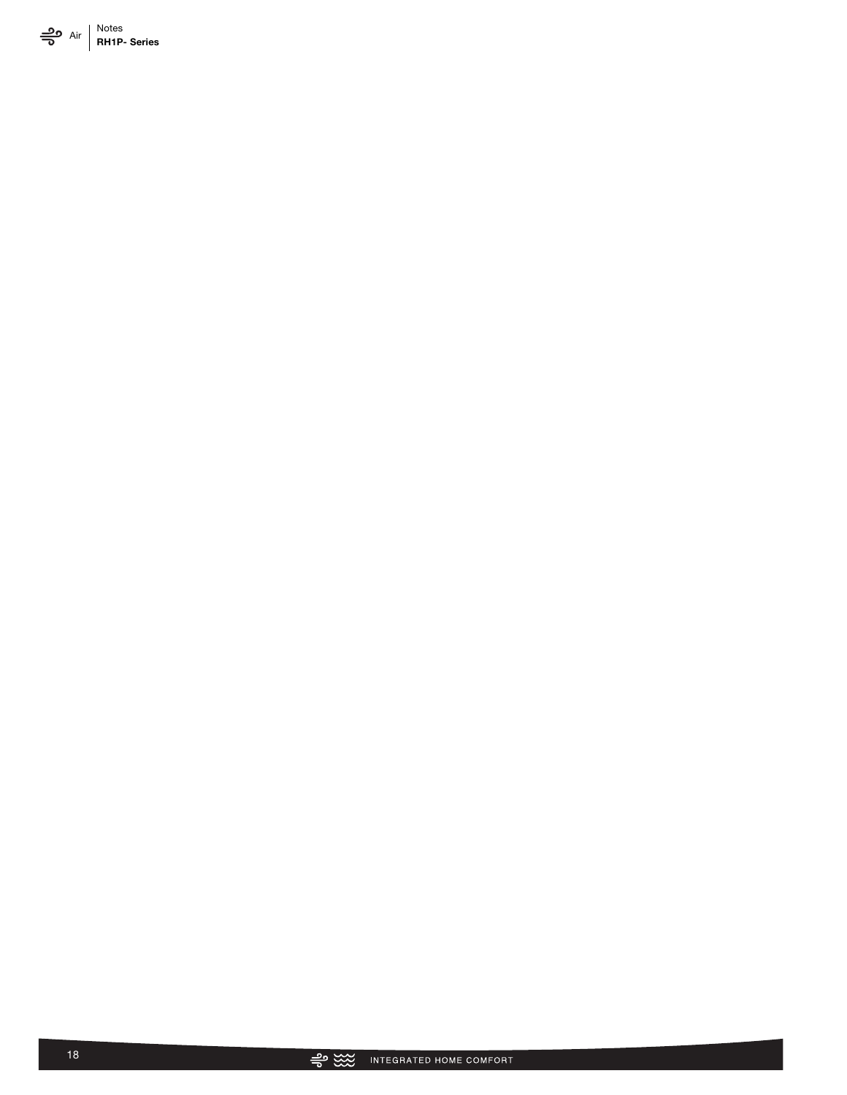Air Notes **RH1P- Series**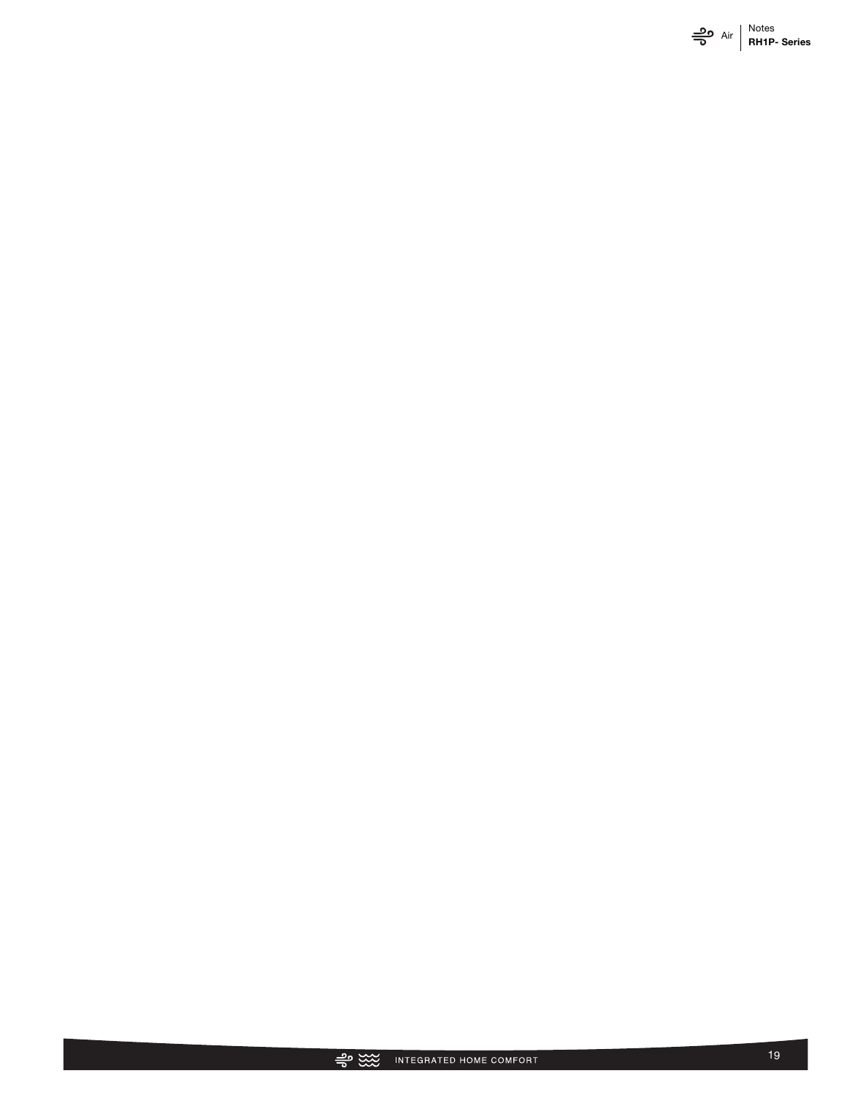